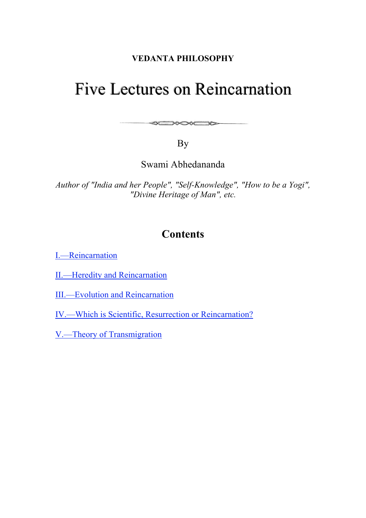## **VEDANTA PHILOSOPHY**

# Five Lectures on Reincarnation

By

**SENSKEND** 

Swami Abhedananda

*Author of "India and her People", "Self-Knowledge", "How to be a Yogi", "Divine Heritage of Man", etc.*

# **Contents**

I.—Reincarnation

II.—Heredity and Reincarnation

III.—Evolution and Reincarnation

IV.—Which is Scientific, Resurrection or Reincarnation?

V.—Theory of Transmigration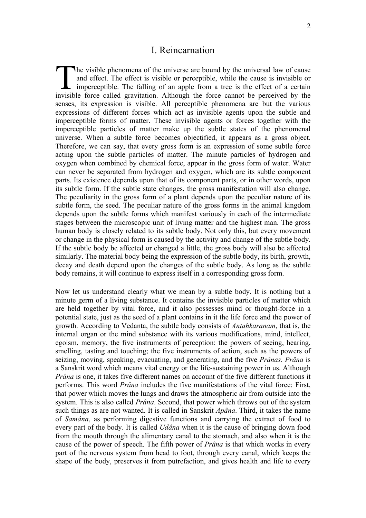#### I. Reincarnation

he visible phenomena of the universe are bound by the universal law of cause and effect. The effect is visible or perceptible, while the cause is invisible or imperceptible. The falling of an apple from a tree is the effect of a certain In the visible phenomena of the universe are bound by the universal law of cause and effect. The effect is visible or perceptible, while the cause is invisible or imperceptible. The falling of an apple from a tree is the e senses, its expression is visible. All perceptible phenomena are but the various expressions of different forces which act as invisible agents upon the subtle and imperceptible forms of matter. These invisible agents or forces together with the imperceptible particles of matter make up the subtle states of the phenomenal universe. When a subtle force becomes objectified, it appears as a gross object. Therefore, we can say, that every gross form is an expression of some subtle force acting upon the subtle particles of matter. The minute particles of hydrogen and oxygen when combined by chemical force, appear in the gross form of water. Water can never be separated from hydrogen and oxygen, which are its subtle component parts. Its existence depends upon that of its component parts, or in other words, upon its subtle form. If the subtle state changes, the gross manifestation will also change. The peculiarity in the gross form of a plant depends upon the peculiar nature of its subtle form, the seed. The peculiar nature of the gross forms in the animal kingdom depends upon the subtle forms which manifest variously in each of the intermediate stages between the microscopic unit of living matter and the highest man. The gross human body is closely related to its subtle body. Not only this, but every movement or change in the physical form is caused by the activity and change of the subtle body. If the subtle body be affected or changed a little, the gross body will also be affected similarly. The material body being the expression of the subtle body, its birth, growth, decay and death depend upon the changes of the subtle body. As long as the subtle body remains, it will continue to express itself in a corresponding gross form.

Now let us understand clearly what we mean by a subtle body. It is nothing but a minute germ of a living substance. It contains the invisible particles of matter which are held together by vital force, and it also possesses mind or thought-force in a potential state, just as the seed of a plant contains in it the life force and the power of growth. According to Vedanta, the subtle body consists of *Antahkaranam*, that is, the internal organ or the mind substance with its various modifications, mind, intellect, egoism, memory, the five instruments of perception: the powers of seeing, hearing, smelling, tasting and touching; the five instruments of action, such as the powers of seizing, moving, speaking, evacuating, and generating, and the five *Prânas. Prâna* is a Sanskrit word which means vital energy or the life-sustaining power in us. Although *Prâna* is one, it takes five different names on account of the five different functions it performs. This word *Prâna* includes the five manifestations of the vital force: First, that power which moves the lungs and draws the atmospheric air from outside into the system. This is also called *Prâna*. Second, that power which throws out of the system such things as are not wanted. It is called in Sanskrit *Apâna*. Third, it takes the name of *Samâna*, as performing digestive functions and carrying the extract of food to every part of the body. It is called *Udâna* when it is the cause of bringing down food from the mouth through the alimentary canal to the stomach, and also when it is the cause of the power of speech. The fifth power of *Prâna* is that which works in every part of the nervous system from head to foot, through every canal, which keeps the shape of the body, preserves it from putrefaction, and gives health and life to every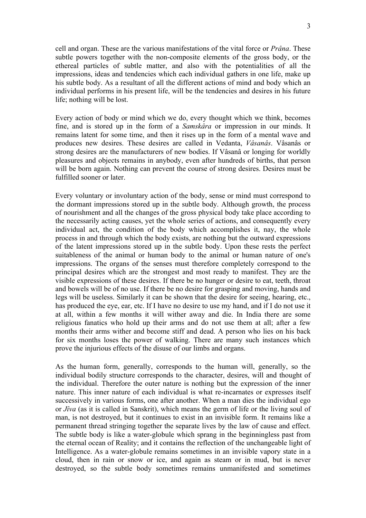cell and organ. These are the various manifestations of the vital force or *Prâna*. These subtle powers together with the non-composite elements of the gross body, or the ethereal particles of subtle matter, and also with the potentialities of all the impressions, ideas and tendencies which each individual gathers in one life, make up his subtle body. As a resultant of all the different actions of mind and body which an individual performs in his present life, will be the tendencies and desires in his future life; nothing will be lost.

Every action of body or mind which we do, every thought which we think, becomes fine, and is stored up in the form of a *Samskâra* or impression in our minds. It remains latent for some time, and then it rises up in the form of a mental wave and produces new desires. These desires are called in Vedanta, *Vâsanâs*. Vâsanâs or strong desires are the manufacturers of new bodies. If Vâsanâ or longing for worldly pleasures and objects remains in anybody, even after hundreds of births, that person will be born again. Nothing can prevent the course of strong desires. Desires must be fulfilled sooner or later.

Every voluntary or involuntary action of the body, sense or mind must correspond to the dormant impressions stored up in the subtle body. Although growth, the process of nourishment and all the changes of the gross physical body take place according to the necessarily acting causes, yet the whole series of actions, and consequently every individual act, the condition of the body which accomplishes it, nay, the whole process in and through which the body exists, are nothing but the outward expressions of the latent impressions stored up in the subtle body. Upon these rests the perfect suitableness of the animal or human body to the animal or human nature of one's impressions. The organs of the senses must therefore completely correspond to the principal desires which are the strongest and most ready to manifest. They are the visible expressions of these desires. If there be no hunger or desire to eat, teeth, throat and bowels will be of no use. If there be no desire for grasping and moving, hands and legs will be useless. Similarly it can be shown that the desire for seeing, hearing, etc., has produced the eye, ear, etc. If I have no desire to use my hand, and if I do not use it at all, within a few months it will wither away and die. In India there are some religious fanatics who hold up their arms and do not use them at all; after a few months their arms wither and become stiff and dead. A person who lies on his back for six months loses the power of walking. There are many such instances which prove the injurious effects of the disuse of our limbs and organs.

As the human form, generally, corresponds to the human will, generally, so the individual bodily structure corresponds to the character, desires, will and thought of the individual. Therefore the outer nature is nothing but the expression of the inner nature. This inner nature of each individual is what re-incarnates or expresses itself successively in various forms, one after another. When a man dies the individual ego or *Jîva* (as it is called in Sanskrit), which means the germ of life or the living soul of man, is not destroyed, but it continues to exist in an invisible form. It remains like a permanent thread stringing together the separate lives by the law of cause and effect. The subtle body is like a water-globule which sprang in the beginningless past from the eternal ocean of Reality; and it contains the reflection of the unchangeable light of Intelligence. As a water-globule remains sometimes in an invisible vapory state in a cloud, then in rain or snow or ice, and again as steam or in mud, but is never destroyed, so the subtle body sometimes remains unmanifested and sometimes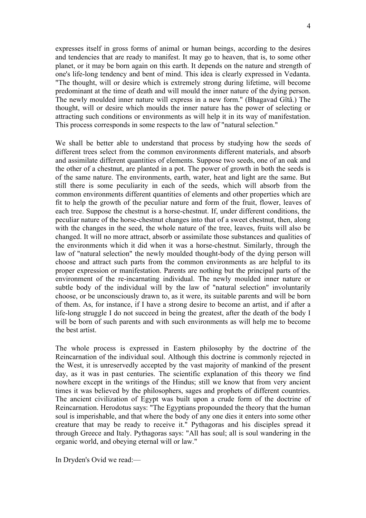expresses itself in gross forms of animal or human beings, according to the desires and tendencies that are ready to manifest. It may go to heaven, that is, to some other planet, or it may be born again on this earth. It depends on the nature and strength of one's life-long tendency and bent of mind. This idea is clearly expressed in Vedanta. "The thought, will or desire which is extremely strong during lifetime, will become predominant at the time of death and will mould the inner nature of the dying person. The newly moulded inner nature will express in a new form." (Bhagavad Gîtâ.) The thought, will or desire which moulds the inner nature has the power of selecting or attracting such conditions or environments as will help it in its way of manifestation. This process corresponds in some respects to the law of "natural selection."

We shall be better able to understand that process by studying how the seeds of different trees select from the common environments different materials, and absorb and assimilate different quantities of elements. Suppose two seeds, one of an oak and the other of a chestnut, are planted in a pot. The power of growth in both the seeds is of the same nature. The environments, earth, water, heat and light are the same. But still there is some peculiarity in each of the seeds, which will absorb from the common environments different quantities of elements and other properties which are fit to help the growth of the peculiar nature and form of the fruit, flower, leaves of each tree. Suppose the chestnut is a horse-chestnut. If, under different conditions, the peculiar nature of the horse-chestnut changes into that of a sweet chestnut, then, along with the changes in the seed, the whole nature of the tree, leaves, fruits will also be changed. It will no more attract, absorb or assimilate those substances and qualities of the environments which it did when it was a horse-chestnut. Similarly, through the law of "natural selection" the newly moulded thought-body of the dying person will choose and attract such parts from the common environments as are helpful to its proper expression or manifestation. Parents are nothing but the principal parts of the environment of the re-incarnating individual. The newly moulded inner nature or subtle body of the individual will by the law of "natural selection" involuntarily choose, or be unconsciously drawn to, as it were, its suitable parents and will be born of them. As, for instance, if I have a strong desire to become an artist, and if after a life-long struggle I do not succeed in being the greatest, after the death of the body I will be born of such parents and with such environments as will help me to become the best artist.

The whole process is expressed in Eastern philosophy by the doctrine of the Reincarnation of the individual soul. Although this doctrine is commonly rejected in the West, it is unreservedly accepted by the vast majority of mankind of the present day, as it was in past centuries. The scientific explanation of this theory we find nowhere except in the writings of the Hindus; still we know that from very ancient times it was believed by the philosophers, sages and prophets of different countries. The ancient civilization of Egypt was built upon a crude form of the doctrine of Reincarnation. Herodotus says: "The Egyptians propounded the theory that the human soul is imperishable, and that where the body of any one dies it enters into some other creature that may be ready to receive it." Pythagoras and his disciples spread it through Greece and Italy. Pythagoras says: "All has soul; all is soul wandering in the organic world, and obeying eternal will or law."

In Dryden's Ovid we read:—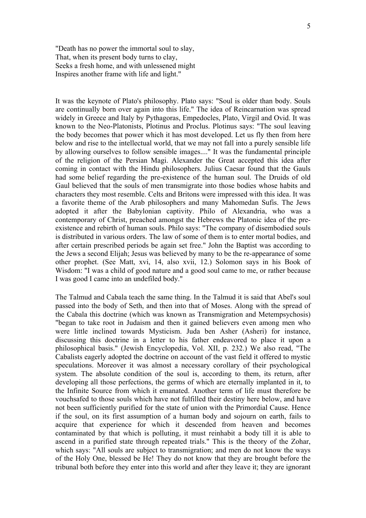"Death has no power the immortal soul to slay, That, when its present body turns to clay, Seeks a fresh home, and with unlessened might Inspires another frame with life and light."

It was the keynote of Plato's philosophy. Plato says: "Soul is older than body. Souls are continually born over again into this life." The idea of Reincarnation was spread widely in Greece and Italy by Pythagoras, Empedocles, Plato, Virgil and Ovid. It was known to the Neo-Platonists, Plotinus and Proclus. Plotinus says: "The soul leaving the body becomes that power which it has most developed. Let us fly then from here below and rise to the intellectual world, that we may not fall into a purely sensible life by allowing ourselves to follow sensible images...." It was the fundamental principle of the religion of the Persian Magi. Alexander the Great accepted this idea after coming in contact with the Hindu philosophers. Julius Caesar found that the Gauls had some belief regarding the pre-existence of the human soul. The Druids of old Gaul believed that the souls of men transmigrate into those bodies whose habits and characters they most resemble. Celts and Britons were impressed with this idea. It was a favorite theme of the Arab philosophers and many Mahomedan Sufis. The Jews adopted it after the Babylonian captivity. Philo of Alexandria, who was a contemporary of Christ, preached amongst the Hebrews the Platonic idea of the preexistence and rebirth of human souls. Philo says: "The company of disembodied souls is distributed in various orders. The law of some of them is to enter mortal bodies, and after certain prescribed periods be again set free." John the Baptist was according to the Jews a second Elijah; Jesus was believed by many to be the re-appearance of some other prophet. (See Matt, xvi, 14, also xvii, 12.) Solomon says in his Book of Wisdom: "I was a child of good nature and a good soul came to me, or rather because I was good I came into an undefiled body."

The Talmud and Cabala teach the same thing. In the Talmud it is said that Abel's soul passed into the body of Seth, and then into that of Moses. Along with the spread of the Cabala this doctrine (which was known as Transmigration and Metempsychosis) "began to take root in Judaism and then it gained believers even among men who were little inclined towards Mysticism. Juda ben Asher (Asheri) for instance, discussing this doctrine in a letter to his father endeavored to place it upon a philosophical basis." (Jewish Encyclopedia, Vol. XII, p. 232.) We also read, "The Cabalists eagerly adopted the doctrine on account of the vast field it offered to mystic speculations. Moreover it was almost a necessary corollary of their psychological system. The absolute condition of the soul is, according to them, its return, after developing all those perfections, the germs of which are eternally implanted in it, to the Infinite Source from which it emanated. Another term of life must therefore be vouchsafed to those souls which have not fulfilled their destiny here below, and have not been sufficiently purified for the state of union with the Primordial Cause. Hence if the soul, on its first assumption of a human body and sojourn on earth, fails to acquire that experience for which it descended from heaven and becomes contaminated by that which is polluting, it must reinhabit a body till it is able to ascend in a purified state through repeated trials." This is the theory of the Zohar, which says: "All souls are subject to transmigration; and men do not know the ways of the Holy One, blessed be He! They do not know that they are brought before the tribunal both before they enter into this world and after they leave it; they are ignorant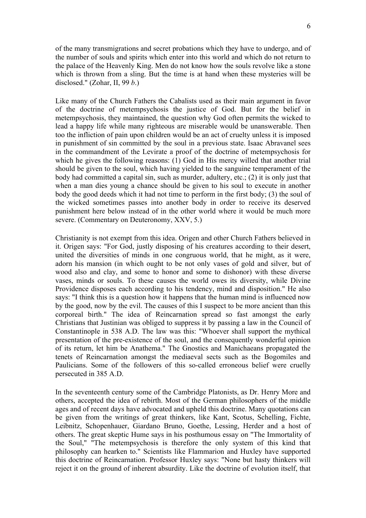of the many transmigrations and secret probations which they have to undergo, and of the number of souls and spirits which enter into this world and which do not return to the palace of the Heavenly King. Men do not know how the souls revolve like a stone which is thrown from a sling. But the time is at hand when these mysteries will be disclosed." (Zohar, II, 99 *b*.)

Like many of the Church Fathers the Cabalists used as their main argument in favor of the doctrine of metempsychosis the justice of God. But for the belief in metempsychosis, they maintained, the question why God often permits the wicked to lead a happy life while many righteous are miserable would be unanswerable. Then too the infliction of pain upon children would be an act of cruelty unless it is imposed in punishment of sin committed by the soul in a previous state. Isaac Abravanel sees in the commandment of the Levirate a proof of the doctrine of metempsychosis for which he gives the following reasons: (1) God in His mercy willed that another trial should be given to the soul, which having yielded to the sanguine temperament of the body had committed a capital sin, such as murder, adultery, etc.; (2) it is only just that when a man dies young a chance should be given to his soul to execute in another body the good deeds which it had not time to perform in the first body; (3) the soul of the wicked sometimes passes into another body in order to receive its deserved punishment here below instead of in the other world where it would be much more severe. (Commentary on Deuteronomy, XXV, 5.)

Christianity is not exempt from this idea. Origen and other Church Fathers believed in it. Origen says: "For God, justly disposing of his creatures according to their desert, united the diversities of minds in one congruous world, that he might, as it were, adorn his mansion (in which ought to be not only vases of gold and silver, but of wood also and clay, and some to honor and some to dishonor) with these diverse vases, minds or souls. To these causes the world owes its diversity, while Divine Providence disposes each according to his tendency, mind and disposition." He also says: "I think this is a question how it happens that the human mind is influenced now by the good, now by the evil. The causes of this I suspect to be more ancient than this corporeal birth." The idea of Reincarnation spread so fast amongst the early Christians that Justinian was obliged to suppress it by passing a law in the Council of Constantinople in 538 A.D. The law was this: "Whoever shall support the mythical presentation of the pre-existence of the soul, and the consequently wonderful opinion of its return, let him be Anathema." The Gnostics and Manichaeans propagated the tenets of Reincarnation amongst the mediaeval sects such as the Bogomiles and Paulicians. Some of the followers of this so-called erroneous belief were cruelly persecuted in 385 A.D.

In the seventeenth century some of the Cambridge Platonists, as Dr. Henry More and others, accepted the idea of rebirth. Most of the German philosophers of the middle ages and of recent days have advocated and upheld this doctrine. Many quotations can be given from the writings of great thinkers, like Kant, Scotus, Schelling, Fichte, Leibnitz, Schopenhauer, Giardano Bruno, Goethe, Lessing, Herder and a host of others. The great skeptic Hume says in his posthumous essay on "The Immortality of the Soul," "The metempsychosis is therefore the only system of this kind that philosophy can hearken to." Scientists like Flammarion and Huxley have supported this doctrine of Reincarnation. Professor Huxley says: "None but hasty thinkers will reject it on the ground of inherent absurdity. Like the doctrine of evolution itself, that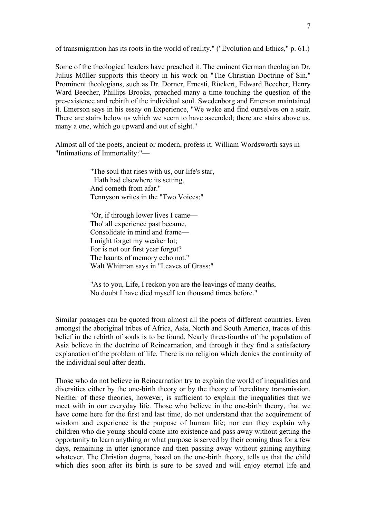of transmigration has its roots in the world of reality." ("Evolution and Ethics," p. 61.)

Some of the theological leaders have preached it. The eminent German theologian Dr. Julius Müller supports this theory in his work on "The Christian Doctrine of Sin." Prominent theologians, such as Dr. Dorner, Ernesti, Rückert, Edward Beecher, Henry Ward Beecher, Phillips Brooks, preached many a time touching the question of the pre-existence and rebirth of the individual soul. Swedenborg and Emerson maintained it. Emerson says in his essay on Experience, "We wake and find ourselves on a stair. There are stairs below us which we seem to have ascended; there are stairs above us, many a one, which go upward and out of sight."

Almost all of the poets, ancient or modern, profess it. William Wordsworth says in "Intimations of Immortality:"—

> "The soul that rises with us, our life's star, Hath had elsewhere its setting, And cometh from afar." Tennyson writes in the "Two Voices;"

> "Or, if through lower lives I came— Tho' all experience past became, Consolidate in mind and frame— I might forget my weaker lot; For is not our first year forgot? The haunts of memory echo not." Walt Whitman says in "Leaves of Grass:"

"As to you, Life, I reckon you are the leavings of many deaths, No doubt I have died myself ten thousand times before."

Similar passages can be quoted from almost all the poets of different countries. Even amongst the aboriginal tribes of Africa, Asia, North and South America, traces of this belief in the rebirth of souls is to be found. Nearly three-fourths of the population of Asia believe in the doctrine of Reincarnation, and through it they find a satisfactory explanation of the problem of life. There is no religion which denies the continuity of the individual soul after death.

Those who do not believe in Reincarnation try to explain the world of inequalities and diversities either by the one-birth theory or by the theory of hereditary transmission. Neither of these theories, however, is sufficient to explain the inequalities that we meet with in our everyday life. Those who believe in the one-birth theory, that we have come here for the first and last time, do not understand that the acquirement of wisdom and experience is the purpose of human life; nor can they explain why children who die young should come into existence and pass away without getting the opportunity to learn anything or what purpose is served by their coming thus for a few days, remaining in utter ignorance and then passing away without gaining anything whatever. The Christian dogma, based on the one-birth theory, tells us that the child which dies soon after its birth is sure to be saved and will enjoy eternal life and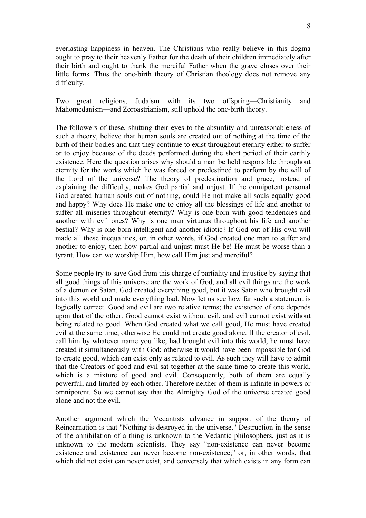everlasting happiness in heaven. The Christians who really believe in this dogma ought to pray to their heavenly Father for the death of their children immediately after their birth and ought to thank the merciful Father when the grave closes over their little forms. Thus the one-birth theory of Christian theology does not remove any difficulty.

Two great religions, Judaism with its two offspring—Christianity and Mahomedanism—and Zoroastrianism, still uphold the one-birth theory.

The followers of these, shutting their eyes to the absurdity and unreasonableness of such a theory, believe that human souls are created out of nothing at the time of the birth of their bodies and that they continue to exist throughout eternity either to suffer or to enjoy because of the deeds performed during the short period of their earthly existence. Here the question arises why should a man be held responsible throughout eternity for the works which he was forced or predestined to perform by the will of the Lord of the universe? The theory of predestination and grace, instead of explaining the difficulty, makes God partial and unjust. If the omnipotent personal God created human souls out of nothing, could He not make all souls equally good and happy? Why does He make one to enjoy all the blessings of life and another to suffer all miseries throughout eternity? Why is one born with good tendencies and another with evil ones? Why is one man virtuous throughout his life and another bestial? Why is one born intelligent and another idiotic? If God out of His own will made all these inequalities, or, in other words, if God created one man to suffer and another to enjoy, then how partial and unjust must He be! He must be worse than a tyrant. How can we worship Him, how call Him just and merciful?

Some people try to save God from this charge of partiality and injustice by saying that all good things of this universe are the work of God, and all evil things are the work of a demon or Satan. God created everything good, but it was Satan who brought evil into this world and made everything bad. Now let us see how far such a statement is logically correct. Good and evil are two relative terms; the existence of one depends upon that of the other. Good cannot exist without evil, and evil cannot exist without being related to good. When God created what we call good, He must have created evil at the same time, otherwise He could not create good alone. If the creator of evil, call him by whatever name you like, had brought evil into this world, he must have created it simultaneously with God; otherwise it would have been impossible for God to create good, which can exist only as related to evil. As such they will have to admit that the Creators of good and evil sat together at the same time to create this world, which is a mixture of good and evil. Consequently, both of them are equally powerful, and limited by each other. Therefore neither of them is infinite in powers or omnipotent. So we cannot say that the Almighty God of the universe created good alone and not the evil.

Another argument which the Vedantists advance in support of the theory of Reincarnation is that "Nothing is destroyed in the universe." Destruction in the sense of the annihilation of a thing is unknown to the Vedantic philosophers, just as it is unknown to the modern scientists. They say "non-existence can never become existence and existence can never become non-existence;" or, in other words, that which did not exist can never exist, and conversely that which exists in any form can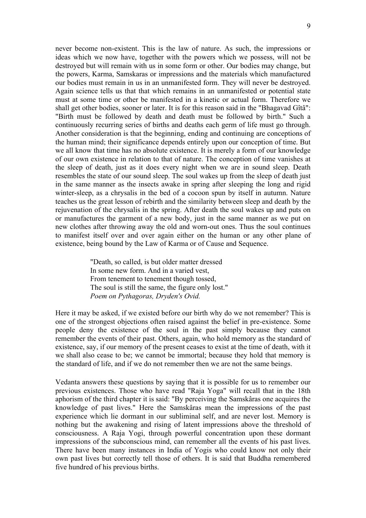never become non-existent. This is the law of nature. As such, the impressions or ideas which we now have, together with the powers which we possess, will not be destroyed but will remain with us in some form or other. Our bodies may change, but the powers, Karma, Samskaras or impressions and the materials which manufactured our bodies must remain in us in an unmanifested form. They will never be destroyed. Again science tells us that that which remains in an unmanifested or potential state must at some time or other be manifested in a kinetic or actual form. Therefore we shall get other bodies, sooner or later. It is for this reason said in the "Bhagavad Gîtâ": "Birth must be followed by death and death must be followed by birth." Such a continuously recurring series of births and deaths each germ of life must go through. Another consideration is that the beginning, ending and continuing are conceptions of the human mind; their significance depends entirely upon our conception of time. But we all know that time has no absolute existence. It is merely a form of our knowledge of our own existence in relation to that of nature. The conception of time vanishes at the sleep of death, just as it does every night when we are in sound sleep. Death resembles the state of our sound sleep. The soul wakes up from the sleep of death just in the same manner as the insects awake in spring after sleeping the long and rigid winter-sleep, as a chrysalis in the bed of a cocoon spun by itself in autumn. Nature teaches us the great lesson of rebirth and the similarity between sleep and death by the rejuvenation of the chrysalis in the spring. After death the soul wakes up and puts on or manufactures the garment of a new body, just in the same manner as we put on new clothes after throwing away the old and worn-out ones. Thus the soul continues to manifest itself over and over again either on the human or any other plane of existence, being bound by the Law of Karma or of Cause and Sequence.

> "Death, so called, is but older matter dressed In some new form. And in a varied vest, From tenement to tenement though tossed, The soul is still the same, the figure only lost." *Poem on Pythagoras, Dryden's Ovid.*

Here it may be asked, if we existed before our birth why do we not remember? This is one of the strongest objections often raised against the belief in pre-existence. Some people deny the existence of the soul in the past simply because they cannot remember the events of their past. Others, again, who hold memory as the standard of existence, say, if our memory of the present ceases to exist at the time of death, with it we shall also cease to be; we cannot be immortal; because they hold that memory is the standard of life, and if we do not remember then we are not the same beings.

Vedanta answers these questions by saying that it is possible for us to remember our previous existences. Those who have read "Raja Yoga" will recall that in the 18th aphorism of the third chapter it is said: "By perceiving the Samskâras one acquires the knowledge of past lives." Here the Samskâras mean the impressions of the past experience which lie dormant in our subliminal self, and are never lost. Memory is nothing but the awakening and rising of latent impressions above the threshold of consciousness. A Raja Yogi, through powerful concentration upon these dormant impressions of the subconscious mind, can remember all the events of his past lives. There have been many instances in India of Yogis who could know not only their own past lives but correctly tell those of others. It is said that Buddha remembered five hundred of his previous births.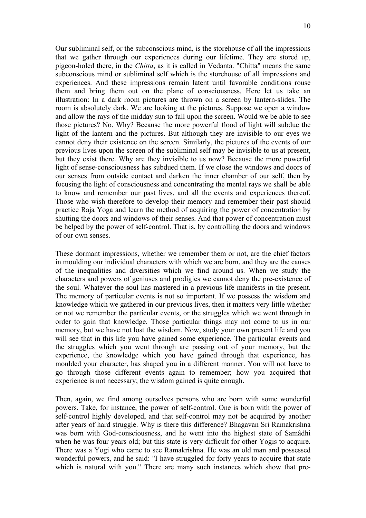Our subliminal self, or the subconscious mind, is the storehouse of all the impressions that we gather through our experiences during our lifetime. They are stored up, pigeon-holed there, in the *Chitta*, as it is called in Vedanta. "Chitta" means the same subconscious mind or subliminal self which is the storehouse of all impressions and experiences. And these impressions remain latent until favorable conditions rouse them and bring them out on the plane of consciousness. Here let us take an illustration: In a dark room pictures are thrown on a screen by lantern-slides. The room is absolutely dark. We are looking at the pictures. Suppose we open a window and allow the rays of the midday sun to fall upon the screen. Would we be able to see those pictures? No. Why? Because the more powerful flood of light will subdue the light of the lantern and the pictures. But although they are invisible to our eyes we cannot deny their existence on the screen. Similarly, the pictures of the events of our previous lives upon the screen of the subliminal self may be invisible to us at present, but they exist there. Why are they invisible to us now? Because the more powerful light of sense-consciousness has subdued them. If we close the windows and doors of our senses from outside contact and darken the inner chamber of our self, then by focusing the light of consciousness and concentrating the mental rays we shall be able to know and remember our past lives, and all the events and experiences thereof. Those who wish therefore to develop their memory and remember their past should practice Raja Yoga and learn the method of acquiring the power of concentration by shutting the doors and windows of their senses. And that power of concentration must be helped by the power of self-control. That is, by controlling the doors and windows of our own senses.

These dormant impressions, whether we remember them or not, are the chief factors in moulding our individual characters with which we are born, and they are the causes of the inequalities and diversities which we find around us. When we study the characters and powers of geniuses and prodigies we cannot deny the pre-existence of the soul. Whatever the soul has mastered in a previous life manifests in the present. The memory of particular events is not so important. If we possess the wisdom and knowledge which we gathered in our previous lives, then it matters very little whether or not we remember the particular events, or the struggles which we went through in order to gain that knowledge. Those particular things may not come to us in our memory, but we have not lost the wisdom. Now, study your own present life and you will see that in this life you have gained some experience. The particular events and the struggles which you went through are passing out of your memory, but the experience, the knowledge which you have gained through that experience, has moulded your character, has shaped you in a different manner. You will not have to go through those different events again to remember; how you acquired that experience is not necessary; the wisdom gained is quite enough.

Then, again, we find among ourselves persons who are born with some wonderful powers. Take, for instance, the power of self-control. One is born with the power of self-control highly developed, and that self-control may not be acquired by another after years of hard struggle. Why is there this difference? Bhagavan Sri Ramakrishna was born with God-consciousness, and he went into the highest state of Samâdhi when he was four years old; but this state is very difficult for other Yogis to acquire. There was a Yogi who came to see Ramakrishna. He was an old man and possessed wonderful powers, and he said: "I have struggled for forty years to acquire that state which is natural with you." There are many such instances which show that pre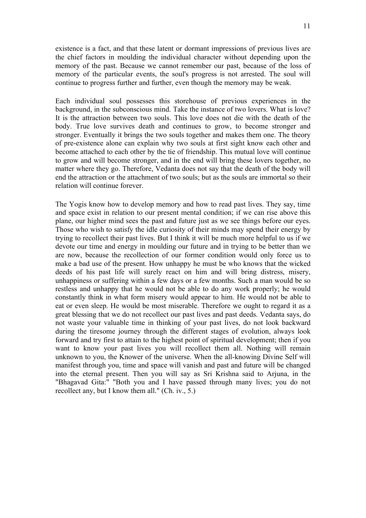existence is a fact, and that these latent or dormant impressions of previous lives are the chief factors in moulding the individual character without depending upon the memory of the past. Because we cannot remember our past, because of the loss of memory of the particular events, the soul's progress is not arrested. The soul will continue to progress further and further, even though the memory may be weak.

Each individual soul possesses this storehouse of previous experiences in the background, in the subconscious mind. Take the instance of two lovers. What is love? It is the attraction between two souls. This love does not die with the death of the body. True love survives death and continues to grow, to become stronger and stronger. Eventually it brings the two souls together and makes them one. The theory of pre-existence alone can explain why two souls at first sight know each other and become attached to each other by the tie of friendship. This mutual love will continue to grow and will become stronger, and in the end will bring these lovers together, no matter where they go. Therefore, Vedanta does not say that the death of the body will end the attraction or the attachment of two souls; but as the souls are immortal so their relation will continue forever.

The Yogis know how to develop memory and how to read past lives. They say, time and space exist in relation to our present mental condition; if we can rise above this plane, our higher mind sees the past and future just as we see things before our eyes. Those who wish to satisfy the idle curiosity of their minds may spend their energy by trying to recollect their past lives. But I think it will be much more helpful to us if we devote our time and energy in moulding our future and in trying to be better than we are now, because the recollection of our former condition would only force us to make a bad use of the present. How unhappy he must be who knows that the wicked deeds of his past life will surely react on him and will bring distress, misery, unhappiness or suffering within a few days or a few months. Such a man would be so restless and unhappy that he would not be able to do any work properly; he would constantly think in what form misery would appear to him. He would not be able to eat or even sleep. He would be most miserable. Therefore we ought to regard it as a great blessing that we do not recollect our past lives and past deeds. Vedanta says, do not waste your valuable time in thinking of your past lives, do not look backward during the tiresome journey through the different stages of evolution, always look forward and try first to attain to the highest point of spiritual development; then if you want to know your past lives you will recollect them all. Nothing will remain unknown to you, the Knower of the universe. When the all-knowing Divine Self will manifest through you, time and space will vanish and past and future will be changed into the eternal present. Then you will say as Sri Krishna said to Arjuna, in the "Bhagavad Gita:" "Both you and I have passed through many lives; you do not recollect any, but I know them all." (Ch. iv., 5.)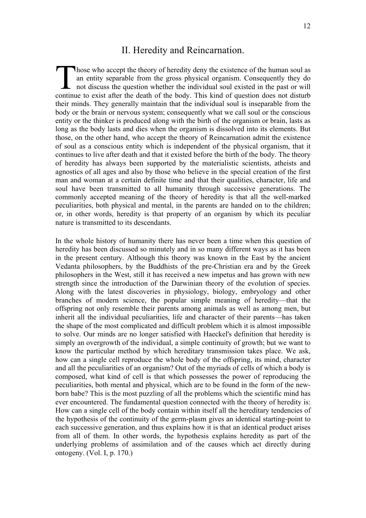### II. Heredity and Reincarnation.

hose who accept the theory of heredity deny the existence of the human soul as an entity separable from the gross physical organism. Consequently they do not discuss the question whether the individual soul existed in the past or will Those who accept the theory of heredity deny the existence of the human soul as an entity separable from the gross physical organism. Consequently they do not discuss the question whether the individual soul existed in the their minds. They generally maintain that the individual soul is inseparable from the body or the brain or nervous system; consequently what we call soul or the conscious entity or the thinker is produced along with the birth of the organism or brain, lasts as long as the body lasts and dies when the organism is dissolved into its elements. But those, on the other hand, who accept the theory of Reincarnation admit the existence of soul as a conscious entity which is independent of the physical organism, that it continues to live after death and that it existed before the birth of the body. The theory of heredity has always been supported by the materialistic scientists, atheists and agnostics of all ages and also by those who believe in the special creation of the first man and woman at a certain definite time and that their qualities, character, life and soul have been transmitted to all humanity through successive generations. The commonly accepted meaning of the theory of heredity is that all the well-marked peculiarities, both physical and mental, in the parents are handed on to the children; or, in other words, heredity is that property of an organism by which its peculiar nature is transmitted to its descendants.

In the whole history of humanity there has never been a time when this question of heredity has been discussed so minutely and in so many different ways as it has been in the present century. Although this theory was known in the East by the ancient Vedanta philosophers, by the Buddhists of the pre-Christian era and by the Greek philosophers in the West, still it has received a new impetus and has grown with new strength since the introduction of the Darwinian theory of the evolution of species. Along with the latest discoveries in physiology, biology, embryology and other branches of modern science, the popular simple meaning of heredity—that the offspring not only resemble their parents among animals as well as among men, but inherit all the individual peculiarities, life and character of their parents—has taken the shape of the most complicated and difficult problem which it is almost impossible to solve. Our minds are no longer satisfied with Haeckel's definition that heredity is simply an overgrowth of the individual, a simple continuity of growth; but we want to know the particular method by which hereditary transmission takes place. We ask, how can a single cell reproduce the whole body of the offspring, its mind, character and all the peculiarities of an organism? Out of the myriads of cells of which a body is composed, what kind of cell is that which possesses the power of reproducing the peculiarities, both mental and physical, which are to be found in the form of the newborn babe? This is the most puzzling of all the problems which the scientific mind has ever encountered. The fundamental question connected with the theory of heredity is: How can a single cell of the body contain within itself all the hereditary tendencies of the hypothesis of the continuity of the germ-plasm gives an identical starting-point to each successive generation, and thus explains how it is that an identical product arises from all of them. In other words, the hypothesis explains heredity as part of the underlying problems of assimilation and of the causes which act directly during ontogeny. (Vol. I, p. 170.)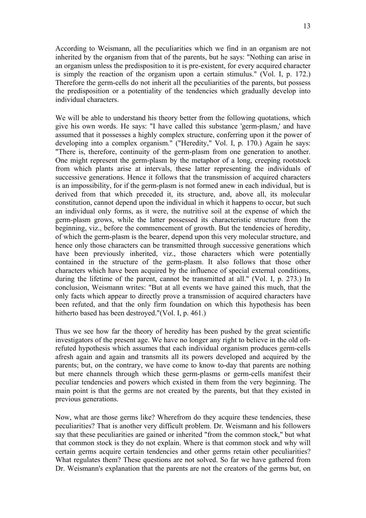According to Weismann, all the peculiarities which we find in an organism are not inherited by the organism from that of the parents, but he says: "Nothing can arise in an organism unless the predisposition to it is pre-existent, for every acquired character is simply the reaction of the organism upon a certain stimulus." (Vol. I, p. 172.) Therefore the germ-cells do not inherit all the peculiarities of the parents, but possess the predisposition or a potentiality of the tendencies which gradually develop into individual characters.

We will be able to understand his theory better from the following quotations, which give his own words. He says: "I have called this substance 'germ-plasm,' and have assumed that it possesses a highly complex structure, conferring upon it the power of developing into a complex organism." ("Heredity," Vol. I, p. 170.) Again he says: "There is, therefore, continuity of the germ-plasm from one generation to another. One might represent the germ-plasm by the metaphor of a long, creeping rootstock from which plants arise at intervals, these latter representing the individuals of successive generations. Hence it follows that the transmission of acquired characters is an impossibility, for if the germ-plasm is not formed anew in each individual, but is derived from that which preceded it, its structure, and, above all, its molecular constitution, cannot depend upon the individual in which it happens to occur, but such an individual only forms, as it were, the nutritive soil at the expense of which the germ-plasm grows, while the latter possessed its characteristic structure from the beginning, viz., before the commencement of growth. But the tendencies of heredity, of which the germ-plasm is the bearer, depend upon this very molecular structure, and hence only those characters can be transmitted through successive generations which have been previously inherited, viz., those characters which were potentially contained in the structure of the germ-plasm. It also follows that those other characters which have been acquired by the influence of special external conditions, during the lifetime of the parent, cannot be transmitted at all." (Vol. I, p. 273.) In conclusion, Weismann writes: "But at all events we have gained this much, that the only facts which appear to directly prove a transmission of acquired characters have been refuted, and that the only firm foundation on which this hypothesis has been hitherto based has been destroyed."(Vol. I, p. 461.)

Thus we see how far the theory of heredity has been pushed by the great scientific investigators of the present age. We have no longer any right to believe in the old oftrefuted hypothesis which assumes that each individual organism produces germ-cells afresh again and again and transmits all its powers developed and acquired by the parents; but, on the contrary, we have come to know to-day that parents are nothing but mere channels through which these germ-plasms or germ-cells manifest their peculiar tendencies and powers which existed in them from the very beginning. The main point is that the germs are not created by the parents, but that they existed in previous generations.

Now, what are those germs like? Wherefrom do they acquire these tendencies, these peculiarities? That is another very difficult problem. Dr. Weismann and his followers say that these peculiarities are gained or inherited "from the common stock," but what that common stock is they do not explain. Where is that common stock and why will certain germs acquire certain tendencies and other germs retain other peculiarities? What regulates them? These questions are not solved. So far we have gathered from Dr. Weismann's explanation that the parents are not the creators of the germs but, on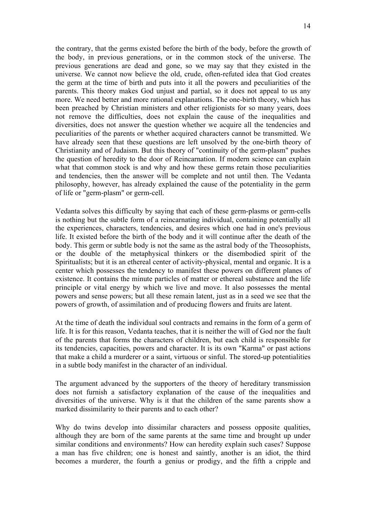the contrary, that the germs existed before the birth of the body, before the growth of the body, in previous generations, or in the common stock of the universe. The previous generations are dead and gone, so we may say that they existed in the universe. We cannot now believe the old, crude, often-refuted idea that God creates the germ at the time of birth and puts into it all the powers and peculiarities of the parents. This theory makes God unjust and partial, so it does not appeal to us any more. We need better and more rational explanations. The one-birth theory, which has been preached by Christian ministers and other religionists for so many years, does not remove the difficulties, does not explain the cause of the inequalities and diversities, does not answer the question whether we acquire all the tendencies and peculiarities of the parents or whether acquired characters cannot be transmitted. We have already seen that these questions are left unsolved by the one-birth theory of Christianity and of Judaism. But this theory of "continuity of the germ-plasm" pushes the question of heredity to the door of Reincarnation. If modern science can explain what that common stock is and why and how these germs retain those peculiarities and tendencies, then the answer will be complete and not until then. The Vedanta philosophy, however, has already explained the cause of the potentiality in the germ of life or "germ-plasm" or germ-cell.

Vedanta solves this difficulty by saying that each of these germ-plasms or germ-cells is nothing but the subtle form of a reincarnating individual, containing potentially all the experiences, characters, tendencies, and desires which one had in one's previous life. It existed before the birth of the body and it will continue after the death of the body. This germ or subtle body is not the same as the astral body of the Theosophists, or the double of the metaphysical thinkers or the disembodied spirit of the Spiritualists; but it is an ethereal center of activity-physical, mental and organic. It is a center which possesses the tendency to manifest these powers on different planes of existence. It contains the minute particles of matter or ethereal substance and the life principle or vital energy by which we live and move. It also possesses the mental powers and sense powers; but all these remain latent, just as in a seed we see that the powers of growth, of assimilation and of producing flowers and fruits are latent.

At the time of death the individual soul contracts and remains in the form of a germ of life. It is for this reason, Vedanta teaches, that it is neither the will of God nor the fault of the parents that forms the characters of children, but each child is responsible for its tendencies, capacities, powers and character. It is its own "Karma" or past actions that make a child a murderer or a saint, virtuous or sinful. The stored-up potentialities in a subtle body manifest in the character of an individual.

The argument advanced by the supporters of the theory of hereditary transmission does not furnish a satisfactory explanation of the cause of the inequalities and diversities of the universe. Why is it that the children of the same parents show a marked dissimilarity to their parents and to each other?

Why do twins develop into dissimilar characters and possess opposite qualities, although they are born of the same parents at the same time and brought up under similar conditions and environments? How can heredity explain such cases? Suppose a man has five children; one is honest and saintly, another is an idiot, the third becomes a murderer, the fourth a genius or prodigy, and the fifth a cripple and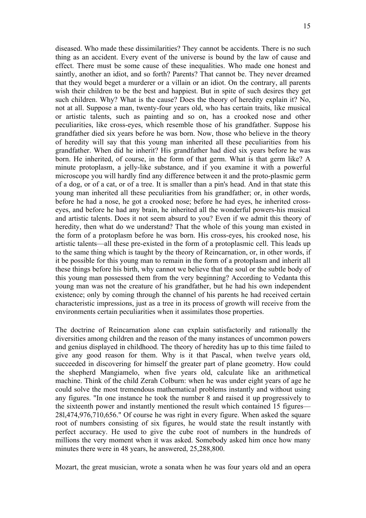diseased. Who made these dissimilarities? They cannot be accidents. There is no such thing as an accident. Every event of the universe is bound by the law of cause and effect. There must be some cause of these inequalities. Who made one honest and saintly, another an idiot, and so forth? Parents? That cannot be. They never dreamed that they would beget a murderer or a villain or an idiot. On the contrary, all parents wish their children to be the best and happiest. But in spite of such desires they get such children. Why? What is the cause? Does the theory of heredity explain it? No, not at all. Suppose a man, twenty-four years old, who has certain traits, like musical or artistic talents, such as painting and so on, has a crooked nose and other peculiarities, like cross-eyes, which resemble those of his grandfather. Suppose his grandfather died six years before he was born. Now, those who believe in the theory of heredity will say that this young man inherited all these peculiarities from his grandfather. When did he inherit? His grandfather had died six years before he was born. He inherited, of course, in the form of that germ. What is that germ like? A minute protoplasm, a jelly-like substance, and if you examine it with a powerful microscope you will hardly find any difference between it and the proto-plasmic germ of a dog, or of a cat, or of a tree. It is smaller than a pin's head. And in that state this young man inherited all these peculiarities from his grandfather; or, in other words, before he had a nose, he got a crooked nose; before he had eyes, he inherited crosseyes, and before he had any brain, he inherited all the wonderful powers-his musical and artistic talents. Does it not seem absurd to you? Even if we admit this theory of heredity, then what do we understand? That the whole of this young man existed in the form of a protoplasm before he was born. His cross-eyes, his crooked nose, his artistic talents—all these pre-existed in the form of a protoplasmic cell. This leads up to the same thing which is taught by the theory of Reincarnation, or, in other words, if it be possible for this young man to remain in the form of a protoplasm and inherit all these things before his birth, why cannot we believe that the soul or the subtle body of this young man possessed them from the very beginning? According to Vedanta this young man was not the creature of his grandfather, but he had his own independent existence; only by coming through the channel of his parents he had received certain characteristic impressions, just as a tree in its process of growth will receive from the environments certain peculiarities when it assimilates those properties.

The doctrine of Reincarnation alone can explain satisfactorily and rationally the diversities among children and the reason of the many instances of uncommon powers and genius displayed in childhood. The theory of heredity has up to this time failed to give any good reason for them. Why is it that Pascal, when twelve years old, succeeded in discovering for himself the greater part of plane geometry. How could the shepherd Mangiamelo, when five years old, calculate like an arithmetical machine. Think of the child Zerah Colburn: when he was under eight years of age he could solve the most tremendous mathematical problems instantly and without using any figures. "In one instance he took the number 8 and raised it up progressively to the sixteenth power and instantly mentioned the result which contained 15 figures— 28l,474,976,710,656." Of course he was right in every figure. When asked the square root of numbers consisting of six figures, he would state the result instantly with perfect accuracy. He used to give the cube root of numbers in the hundreds of millions the very moment when it was asked. Somebody asked him once how many minutes there were in 48 years, he answered, 25,288,800.

Mozart, the great musician, wrote a sonata when he was four years old and an opera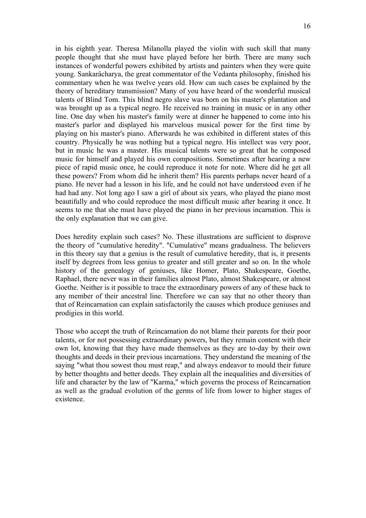in his eighth year. Theresa Milanolla played the violin with such skill that many people thought that she must have played before her birth. There are many such instances of wonderful powers exhibited by artists and painters when they were quite young. Sankarâcharya, the great commentator of the Vedanta philosophy, finished his commentary when he was twelve years old. How can such cases be explained by the theory of hereditary transmission? Many of you have heard of the wonderful musical talents of Blind Tom. This blind negro slave was born on his master's plantation and was brought up as a typical negro. He received no training in music or in any other line. One day when his master's family were at dinner he happened to come into his master's parlor and displayed his marvelous musical power for the first time by playing on his master's piano. Afterwards he was exhibited in different states of this country. Physically he was nothing but a typical negro. His intellect was very poor, but in music he was a master. His musical talents were so great that he composed music for himself and played his own compositions. Sometimes after hearing a new piece of rapid music once, he could reproduce it note for note. Where did he get all these powers? From whom did he inherit them? His parents perhaps never heard of a piano. He never had a lesson in his life, and he could not have understood even if he had had any. Not long ago I saw a girl of about six years, who played the piano most beautifully and who could reproduce the most difficult music after hearing it once. It seems to me that she must have played the piano in her previous incarnation. This is the only explanation that we can give.

Does heredity explain such cases? No. These illustrations are sufficient to disprove the theory of "cumulative heredity". "Cumulative" means gradualness. The believers in this theory say that a genius is the result of cumulative heredity, that is, it presents itself by degrees from less genius to greater and still greater and so on. In the whole history of the genealogy of geniuses, like Homer, Plato, Shakespeare, Goethe, Raphael, there never was in their families almost Plato, almost Shakespeare, or almost Goethe. Neither is it possible to trace the extraordinary powers of any of these back to any member of their ancestral line. Therefore we can say that no other theory than that of Reincarnation can explain satisfactorily the causes which produce geniuses and prodigies in this world.

Those who accept the truth of Reincarnation do not blame their parents for their poor talents, or for not possessing extraordinary powers, but they remain content with their own lot, knowing that they have made themselves as they are to-day by their own thoughts and deeds in their previous incarnations. They understand the meaning of the saying "what thou sowest thou must reap," and always endeavor to mould their future by better thoughts and better deeds. They explain all the inequalities and diversities of life and character by the law of "Karma," which governs the process of Reincarnation as well as the gradual evolution of the germs of life from lower to higher stages of existence.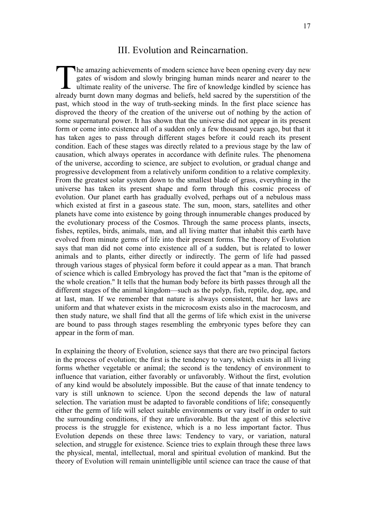### III. Evolution and Reincarnation.

he amazing achievements of modern science have been opening every day new gates of wisdom and slowly bringing human minds nearer and nearer to the ultimate reality of the universe. The fire of knowledge kindled by science has The amazing achievements of modern science have been opening every day new gates of wisdom and slowly bringing human minds nearer and nearer to the ultimate reality of the universe. The fire of knowledge kindled by science past, which stood in the way of truth-seeking minds. In the first place science has disproved the theory of the creation of the universe out of nothing by the action of some supernatural power. It has shown that the universe did not appear in its present form or come into existence all of a sudden only a few thousand years ago, but that it has taken ages to pass through different stages before it could reach its present condition. Each of these stages was directly related to a previous stage by the law of causation, which always operates in accordance with definite rules. The phenomena of the universe, according to science, are subject to evolution, or gradual change and progressive development from a relatively uniform condition to a relative complexity. From the greatest solar system down to the smallest blade of grass, everything in the universe has taken its present shape and form through this cosmic process of evolution. Our planet earth has gradually evolved, perhaps out of a nebulous mass which existed at first in a gaseous state. The sun, moon, stars, satellites and other planets have come into existence by going through innumerable changes produced by the evolutionary process of the Cosmos. Through the same process plants, insects, fishes, reptiles, birds, animals, man, and all living matter that inhabit this earth have evolved from minute germs of life into their present forms. The theory of Evolution says that man did not come into existence all of a sudden, but is related to lower animals and to plants, either directly or indirectly. The germ of life had passed through various stages of physical form before it could appear as a man. That branch of science which is called Embryology has proved the fact that "man is the epitome of the whole creation." It tells that the human body before its birth passes through all the different stages of the animal kingdom—such as the polyp, fish, reptile, dog, ape, and at last, man. If we remember that nature is always consistent, that her laws are uniform and that whatever exists in the microcosm exists also in the macrocosm, and then study nature, we shall find that all the germs of life which exist in the universe are bound to pass through stages resembling the embryonic types before they can appear in the form of man.

In explaining the theory of Evolution, science says that there are two principal factors in the process of evolution; the first is the tendency to vary, which exists in all living forms whether vegetable or animal; the second is the tendency of environment to influence that variation, either favorably or unfavorably. Without the first, evolution of any kind would be absolutely impossible. But the cause of that innate tendency to vary is still unknown to science. Upon the second depends the law of natural selection. The variation must be adapted to favorable conditions of life; consequently either the germ of life will select suitable environments or vary itself in order to suit the surrounding conditions, if they are unfavorable. But the agent of this selective process is the struggle for existence, which is a no less important factor. Thus Evolution depends on these three laws: Tendency to vary, or variation, natural selection, and struggle for existence. Science tries to explain through these three laws the physical, mental, intellectual, moral and spiritual evolution of mankind. But the theory of Evolution will remain unintelligible until science can trace the cause of that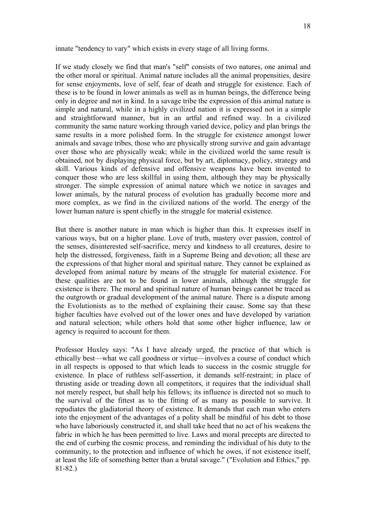innate "tendency to vary" which exists in every stage of all living forms.

If we study closely we find that man's "self" consists of two natures, one animal and the other moral or spiritual. Animal nature includes all the animal propensities, desire for sense enjoyments, love of self, fear of death and struggle for existence. Each of these is to be found in lower animals as well as in human beings, the difference being only in degree and not in kind. In a savage tribe the expression of this animal nature is simple and natural, while in a highly civilized nation it is expressed not in a simple and straightforward manner, but in an artful and refined way. In a civilized community the same nature working through varied device, policy and plan brings the same results in a more polished form. In the struggle for existence amongst lower animals and savage tribes, those who are physically strong survive and gain advantage over those who are physically weak; while in the civilized world the same result is obtained, not by displaying physical force, but by art, diplomacy, policy, strategy and skill. Various kinds of defensive and offensive weapons have been invented to conquer those who are less skillful in using them, although they may be physically stronger. The simple expression of animal nature which we notice in savages and lower animals, by the natural process of evolution has gradually become more and more complex, as we find in the civilized nations of the world. The energy of the lower human nature is spent chiefly in the struggle for material existence.

But there is another nature in man which is higher than this. It expresses itself in various ways, but on a higher plane. Love of truth, mastery over passion, control of the senses, disinterested self-sacrifice, mercy and kindness to all creatures, desire to help the distressed, forgiveness, faith in a Supreme Being and devotion; all these are the expressions of that higher moral and spiritual nature. They cannot be explained as developed from animal nature by means of the struggle for material existence. For these qualities are not to be found in lower animals, although the struggle for existence is there. The moral and spiritual nature of human beings cannot be traced as the outgrowth or gradual development of the animal nature. There is a dispute among the Evolutionists as to the method of explaining their cause. Some say that these higher faculties have evolved out of the lower ones and have developed by variation and natural selection; while others hold that some other higher influence, law or agency is required to account for them.

Professor Huxley says: "As I have already urged, the practice of that which is ethically best—what we call goodness or virtue—involves a course of conduct which in all respects is opposed to that which leads to success in the cosmic struggle for existence. In place of ruthless self-assertion, it demands self-restraint; in place of thrusting aside or treading down all competitors, it requires that the individual shall not merely respect, but shall help his fellows; its influence is directed not so much to the survival of the fittest as to the fitting of as many as possible to survive. It repudiates the gladiatorial theory of existence. It demands that each man who enters into the enjoyment of the advantages of a polity shall be mindful of his debt to those who have laboriously constructed it, and shall take heed that no act of his weakens the fabric in which he has been permitted to live. Laws and moral precepts are directed to the end of curbing the cosmic process, and reminding the individual of his duty to the community, to the protection and influence of which he owes, if not existence itself, at least the life of something better than a brutal savage." ("Evolution and Ethics," pp. 81-82.)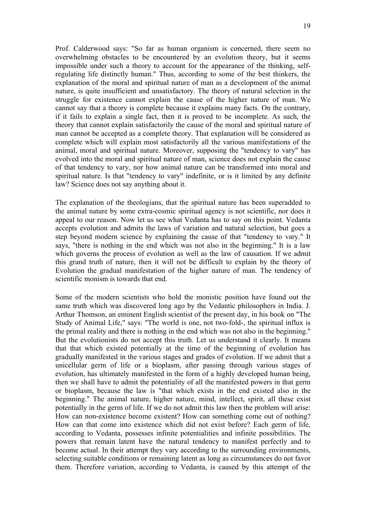Prof. Calderwood says: "So far as human organism is concerned, there seem no overwhelming obstacles to be encountered by an evolution theory, but it seems impossible under such a theory to account for the appearance of the thinking, selfregulating life distinctly human." Thus, according to some of the best thinkers, the explanation of the moral and spiritual nature of man as a development of the animal nature, is quite insufficient and unsatisfactory. The theory of natural selection in the struggle for existence cannot explain the cause of the higher nature of man. We cannot say that a theory is complete because it explains many facts. On the contrary, if it fails to explain a single fact, then it is proved to be incomplete. As such, the theory that cannot explain satisfactorily the cause of the moral and spiritual nature of man cannot be accepted as a complete theory. That explanation will be considered as complete which will explain most satisfactorily all the various manifestations of the animal, moral and spiritual nature. Moreover, supposing the "tendency to vary" has evolved into the moral and spiritual nature of man, science does not explain the cause of that tendency to vary, nor how animal nature can be transformed into moral and spiritual nature. Is that "tendency to vary" indefinite, or is it limited by any definite law? Science does not say anything about it.

The explanation of the theologians, that the spiritual nature has been superadded to the animal nature by some extra-cosmic spiritual agency is not scientific, nor does it appeal to our reason. Now let us see what Vedanta has to say on this point. Vedanta accepts evolution and admits the laws of variation and natural selection, but goes a step beyond modern science by explaining the cause of that "tendency to vary." It says, "there is nothing in the end which was not also in the beginning." It is a law which governs the process of evolution as well as the law of causation. If we admit this grand truth of nature, then it will not be difficult to explain by the theory of Evolution the gradual manifestation of the higher nature of man. The tendency of scientific monism is towards that end.

Some of the modern scientists who hold the monistic position have found out the same truth which was discovered long ago by the Vedantic philosophers in India. J. Arthur Thomson, an eminent English scientist of the present day, in his book on "The Study of Animal Life," says: "The world is one, not two-fold-, the spiritual influx is the primal reality and there is nothing in the end which was not also in the beginning." But the evolutionists do not accept this truth. Let us understand it clearly. It means that that which existed potentially at the time of the beginning of evolution has gradually manifested in the various stages and grades of evolution. If we admit that a unicellular germ of life or a bioplasm, after passing through various stages of evolution, has ultimately manifested in the form of a highly developed human being, then we shall have to admit the potentiality of all the manifested powers in that germ or bioplasm, because the law is "that which exists in the end existed also in the beginning." The animal nature, higher nature, mind, intellect, spirit, all these exist potentially in the germ of life. If we do not admit this law then the problem will arise: How can non-existence become existent? How can something come out of nothing? How can that come into existence which did not exist before? Each germ of life, according to Vedanta, possesses infinite potentialities and infinite possibilities. The powers that remain latent have the natural tendency to manifest perfectly and to become actual. In their attempt they vary according to the surrounding environments, selecting suitable conditions or remaining latent as long as circumstances do not favor them. Therefore variation, according to Vedanta, is caused by this attempt of the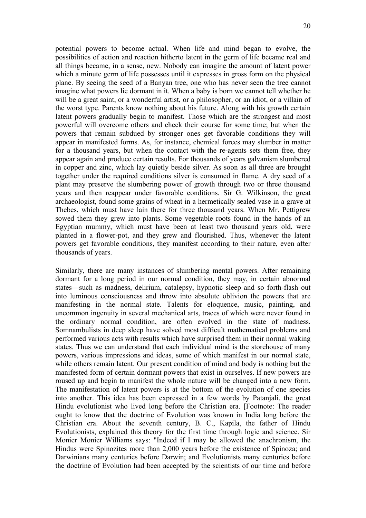potential powers to become actual. When life and mind began to evolve, the possibilities of action and reaction hitherto latent in the germ of life became real and all things became, in a sense, new. Nobody can imagine the amount of latent power which a minute germ of life possesses until it expresses in gross form on the physical plane. By seeing the seed of a Banyan tree, one who has never seen the tree cannot imagine what powers lie dormant in it. When a baby is born we cannot tell whether he will be a great saint, or a wonderful artist, or a philosopher, or an idiot, or a villain of the worst type. Parents know nothing about his future. Along with his growth certain latent powers gradually begin to manifest. Those which are the strongest and most powerful will overcome others and check their course for some time; but when the powers that remain subdued by stronger ones get favorable conditions they will appear in manifested forms. As, for instance, chemical forces may slumber in matter for a thousand years, but when the contact with the re-agents sets them free, they appear again and produce certain results. For thousands of years galvanism slumbered in copper and zinc, which lay quietly beside silver. As soon as all three are brought together under the required conditions silver is consumed in flame. A dry seed of a plant may preserve the slumbering power of growth through two or three thousand years and then reappear under favorable conditions. Sir G. Wilkinson, the great archaeologist, found some grains of wheat in a hermetically sealed vase in a grave at Thebes, which must have lain there for three thousand years. When Mr. Pettigrew sowed them they grew into plants. Some vegetable roots found in the hands of an Egyptian mummy, which must have been at least two thousand years old, were planted in a flower-pot, and they grew and flourished. Thus, whenever the latent powers get favorable conditions, they manifest according to their nature, even after thousands of years.

Similarly, there are many instances of slumbering mental powers. After remaining dormant for a long period in our normal condition, they may, in certain abnormal states—such as madness, delirium, catalepsy, hypnotic sleep and so forth-flash out into luminous consciousness and throw into absolute oblivion the powers that are manifesting in the normal state. Talents for eloquence, music, painting, and uncommon ingenuity in several mechanical arts, traces of which were never found in the ordinary normal condition, are often evolved in the state of madness. Somnambulists in deep sleep have solved most difficult mathematical problems and performed various acts with results which have surprised them in their normal waking states. Thus we can understand that each individual mind is the storehouse of many powers, various impressions and ideas, some of which manifest in our normal state, while others remain latent. Our present condition of mind and body is nothing but the manifested form of certain dormant powers that exist in ourselves. If new powers are roused up and begin to manifest the whole nature will be changed into a new form. The manifestation of latent powers is at the bottom of the evolution of one species into another. This idea has been expressed in a few words by Patanjali, the great Hindu evolutionist who lived long before the Christian era. [Footnote: The reader ought to know that the doctrine of Evolution was known in India long before the Christian era. About the seventh century, B. C., Kapila, the father of Hindu Evolutionists, explained this theory for the first time through logic and science. Sir Monier Monier Williams says: "Indeed if I may be allowed the anachronism, the Hindus were Spinozites more than 2,000 years before the existence of Spinoza; and Darwinians many centuries before Darwin; and Evolutionists many centuries before the doctrine of Evolution had been accepted by the scientists of our time and before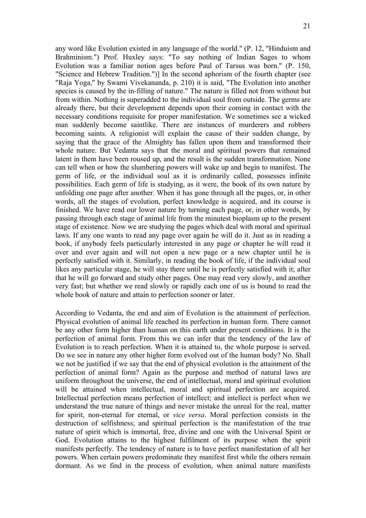21

any word like Evolution existed in any language of the world." (P. 12, "Hinduism and Brahminism.") Prof. Huxley says: "To say nothing of Indian Sages to whom Evolution was a familiar notion ages before Paul of Tarsus was born." (P. 150, "Science and Hebrew Tradition.")] In the second aphorism of the fourth chapter (see "Raja Yoga," by Swami Vivekananda, p. 210) it is said, "The Evolution into another species is caused by the in-filling of nature." The nature is filled not from without but from within. Nothing is superadded to the individual soul from outside. The germs are already there, but their development depends upon their coming in contact with the necessary conditions requisite for proper manifestation. We sometimes see a wicked man suddenly become saintlike. There are instances of murderers and robbers becoming saints. A religionist will explain the cause of their sudden change, by saying that the grace of the Almighty has fallen upon them and transformed their whole nature. But Vedanta says that the moral and spiritual powers that remained latent in them have been roused up, and the result is the sudden transformation. None can tell when or how the slumbering powers will wake up and begin to manifest. The germ of life, or the individual soul as it is ordinarily called, possesses infinite possibilities. Each germ of life is studying, as it were, the book of its own nature by unfolding one page after another. When it has gone through all the pages, or, in other words, all the stages of evolution, perfect knowledge is acquired, and its course is finished. We have read our lower nature by turning each page, or, in other words, by passing through each stage of animal life from the minutest bioplasm up to the present stage of existence. Now we are studying the pages which deal with moral and spiritual laws. If any one wants to read any page over again he will do it. Just as in reading a book, if anybody feels particularly interested in any page or chapter he will read it over and over again and will not open a new page or a new chapter until he is perfectly satisfied with it. Similarly, in reading the book of life, if the individual soul likes any particular stage, he will stay there until he is perfectly satisfied with it; after that he will go forward and study other pages. One may read very slowly, and another very fast; but whether we read slowly or rapidly each one of us is bound to read the whole book of nature and attain to perfection sooner or later.

According to Vedanta, the end and aim of Evolution is the attainment of perfection. Physical evolution of animal life reached its perfection in human form. There cannot be any other form higher than human on this earth under present conditions. It is the perfection of animal form. From this we can infer that the tendency of the law of Evolution is to reach perfection. When it is attained to, the whole purpose is served. Do we see in nature any other higher form evolved out of the human body? No. Shall we not be justified if we say that the end of physical evolution is the attainment of the perfection of animal form? Again as the purpose and method of natural laws are uniform throughout the universe, the end of intellectual, moral and spiritual evolution will be attained when intellectual, moral and spiritual perfection are acquired. Intellectual perfection means perfection of intellect; and intellect is perfect when we understand the true nature of things and never mistake the unreal for the real, matter for spirit, non-eternal for eternal, or *vice versa*. Moral perfection consists in the destruction of selfishness; and spiritual perfection is the manifestation of the true nature of spirit which is immortal, free, divine and one with the Universal Spirit or God. Evolution attains to the highest fulfilment of its purpose when the spirit manifests perfectly. The tendency of nature is to have perfect manifestation of all her powers. When certain powers predominate they manifest first while the others remain dormant. As we find in the process of evolution, when animal nature manifests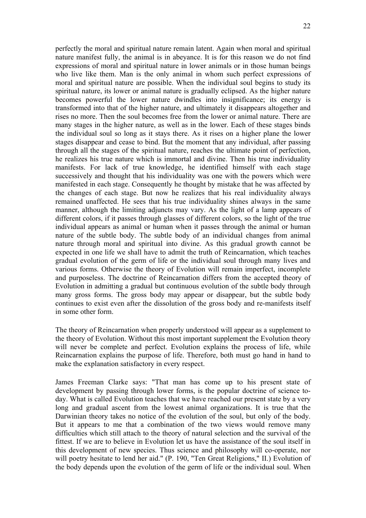perfectly the moral and spiritual nature remain latent. Again when moral and spiritual nature manifest fully, the animal is in abeyance. It is for this reason we do not find expressions of moral and spiritual nature in lower animals or in those human beings who live like them. Man is the only animal in whom such perfect expressions of moral and spiritual nature are possible. When the individual soul begins to study its spiritual nature, its lower or animal nature is gradually eclipsed. As the higher nature becomes powerful the lower nature dwindles into insignificance; its energy is transformed into that of the higher nature, and ultimately it disappears altogether and rises no more. Then the soul becomes free from the lower or animal nature. There are many stages in the higher nature, as well as in the lower. Each of these stages binds the individual soul so long as it stays there. As it rises on a higher plane the lower stages disappear and cease to bind. But the moment that any individual, after passing through all the stages of the spiritual nature, reaches the ultimate point of perfection, he realizes his true nature which is immortal and divine. Then his true individuality manifests. For lack of true knowledge, he identified himself with each stage successively and thought that his individuality was one with the powers which were manifested in each stage. Consequently he thought by mistake that he was affected by the changes of each stage. But now he realizes that his real individuality always remained unaffected. He sees that his true individuality shines always in the same manner, although the limiting adjuncts may vary. As the light of a lamp appears of different colors, if it passes through glasses of different colors, so the light of the true individual appears as animal or human when it passes through the animal or human nature of the subtle body. The subtle body of an individual changes from animal nature through moral and spiritual into divine. As this gradual growth cannot be expected in one life we shall have to admit the truth of Reincarnation, which teaches gradual evolution of the germ of life or the individual soul through many lives and various forms. Otherwise the theory of Evolution will remain imperfect, incomplete and purposeless. The doctrine of Reincarnation differs from the accepted theory of Evolution in admitting a gradual but continuous evolution of the subtle body through many gross forms. The gross body may appear or disappear, but the subtle body continues to exist even after the dissolution of the gross body and re-manifests itself in some other form.

The theory of Reincarnation when properly understood will appear as a supplement to the theory of Evolution. Without this most important supplement the Evolution theory will never be complete and perfect. Evolution explains the process of life, while Reincarnation explains the purpose of life. Therefore, both must go hand in hand to make the explanation satisfactory in every respect.

James Freeman Clarke says: "That man has come up to his present state of development by passing through lower forms, is the popular doctrine of science today. What is called Evolution teaches that we have reached our present state by a very long and gradual ascent from the lowest animal organizations. It is true that the Darwinian theory takes no notice of the evolution of the soul, but only of the body. But it appears to me that a combination of the two views would remove many difficulties which still attach to the theory of natural selection and the survival of the fittest. If we are to believe in Evolution let us have the assistance of the soul itself in this development of new species. Thus science and philosophy will co-operate, nor will poetry hesitate to lend her aid." (P. 190, "Ten Great Religions," II.) Evolution of the body depends upon the evolution of the germ of life or the individual soul. When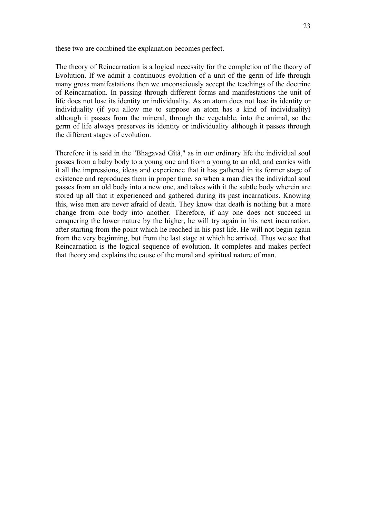these two are combined the explanation becomes perfect.

The theory of Reincarnation is a logical necessity for the completion of the theory of Evolution. If we admit a continuous evolution of a unit of the germ of life through many gross manifestations then we unconsciously accept the teachings of the doctrine of Reincarnation. In passing through different forms and manifestations the unit of life does not lose its identity or individuality. As an atom does not lose its identity or individuality (if you allow me to suppose an atom has a kind of individuality) although it passes from the mineral, through the vegetable, into the animal, so the germ of life always preserves its identity or individuality although it passes through the different stages of evolution.

Therefore it is said in the "Bhagavad Gîtâ," as in our ordinary life the individual soul passes from a baby body to a young one and from a young to an old, and carries with it all the impressions, ideas and experience that it has gathered in its former stage of existence and reproduces them in proper time, so when a man dies the individual soul passes from an old body into a new one, and takes with it the subtle body wherein are stored up all that it experienced and gathered during its past incarnations. Knowing this, wise men are never afraid of death. They know that death is nothing but a mere change from one body into another. Therefore, if any one does not succeed in conquering the lower nature by the higher, he will try again in his next incarnation, after starting from the point which he reached in his past life. He will not begin again from the very beginning, but from the last stage at which he arrived. Thus we see that Reincarnation is the logical sequence of evolution. It completes and makes perfect that theory and explains the cause of the moral and spiritual nature of man.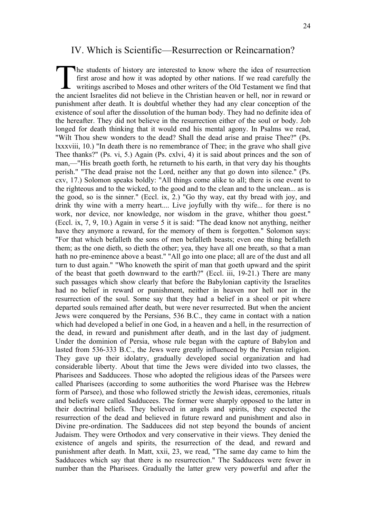#### IV. Which is Scientific—Resurrection or Reincarnation?

he students of history are interested to know where the idea of resurrection first arose and how it was adopted by other nations. If we read carefully the writings ascribed to Moses and other writers of the Old Testament we find that The students of history are interested to know where the idea of resurrection first arose and how it was adopted by other nations. If we read carefully the writings ascribed to Moses and other writers of the Old Testament punishment after death. It is doubtful whether they had any clear conception of the existence of soul after the dissolution of the human body. They had no definite idea of the hereafter. They did not believe in the resurrection either of the soul or body. Job longed for death thinking that it would end his mental agony. In Psalms we read, "Wilt Thou shew wonders to the dead? Shall the dead arise and praise Thee?" (Ps. lxxxviii, 10.) "In death there is no remembrance of Thee; in the grave who shall give Thee thanks?" (Ps. vi, 5.) Again (Ps. cxlvi, 4) it is said about princes and the son of man,—"His breath goeth forth, he returneth to his earth, in that very day his thoughts perish." "The dead praise not the Lord, neither any that go down into silence." (Ps. cxv, 17.) Solomon speaks boldly: "All things come alike to all; there is one event to the righteous and to the wicked, to the good and to the clean and to the unclean... as is the good, so is the sinner." (Eccl. ix, 2.) "Go thy way, eat thy bread with joy, and drink thy wine with a merry heart.... Live joyfully with thy wife... for there is no work, nor device, nor knowledge, nor wisdom in the grave, whither thou goest." (Eccl. ix, 7, 9, 10.) Again in verse 5 it is said: "The dead know not anything, neither have they anymore a reward, for the memory of them is forgotten." Solomon says: "For that which befalleth the sons of men befalleth beasts; even one thing befalleth them; as the one dieth, so dieth the other; yea, they have all one breath, so that a man hath no pre-eminence above a beast." "All go into one place; all are of the dust and all turn to dust again." "Who knoweth the spirit of man that goeth upward and the spirit of the beast that goeth downward to the earth?" (Eccl. iii, 19-21.) There are many such passages which show clearly that before the Babylonian captivity the Israelites had no belief in reward or punishment, neither in heaven nor hell nor in the resurrection of the soul. Some say that they had a belief in a sheol or pit where departed souls remained after death, but were never resurrected. But when the ancient Jews were conquered by the Persians, 536 B.C., they came in contact with a nation which had developed a belief in one God, in a heaven and a hell, in the resurrection of the dead, in reward and punishment after death, and in the last day of judgment. Under the dominion of Persia, whose rule began with the capture of Babylon and lasted from 536-333 B.C., the Jews were greatly influenced by the Persian religion. They gave up their idolatry, gradually developed social organization and had considerable liberty. About that time the Jews were divided into two classes, the Pharisees and Sadducees. Those who adopted the religious ideas of the Parsees were called Pharisees (according to some authorities the word Pharisee was the Hebrew form of Parsee), and those who followed strictly the Jewish ideas, ceremonies, rituals and beliefs were called Sadducees. The former were sharply opposed to the latter in their doctrinal beliefs. They believed in angels and spirits, they expected the resurrection of the dead and believed in future reward and punishment and also in Divine pre-ordination. The Sadducees did not step beyond the bounds of ancient Judaism. They were Orthodox and very conservative in their views. They denied the existence of angels and spirits, the resurrection of the dead, and reward and punishment after death. In Matt, xxii, 23, we read, "The same day came to him the Sadducees which say that there is no resurrection." The Sadducees were fewer in number than the Pharisees. Gradually the latter grew very powerful and after the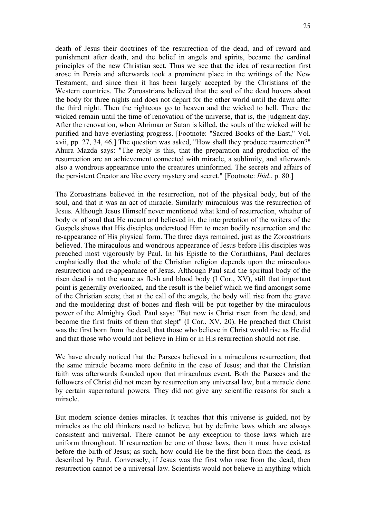death of Jesus their doctrines of the resurrection of the dead, and of reward and punishment after death, and the belief in angels and spirits, became the cardinal principles of the new Christian sect. Thus we see that the idea of resurrection first arose in Persia and afterwards took a prominent place in the writings of the New Testament, and since then it has been largely accepted by the Christians of the Western countries. The Zoroastrians believed that the soul of the dead hovers about the body for three nights and does not depart for the other world until the dawn after the third night. Then the righteous go to heaven and the wicked to hell. There the wicked remain until the time of renovation of the universe, that is, the judgment day. After the renovation, when Ahriman or Satan is killed, the souls of the wicked will be purified and have everlasting progress. [Footnote: "Sacred Books of the East," Vol. xvii, pp. 27, 34, 46.] The question was asked, "How shall they produce resurrection?" Ahura Mazda says: "The reply is this, that the preparation and production of the resurrection are an achievement connected with miracle, a sublimity, and afterwards also a wondrous appearance unto the creatures uninformed. The secrets and affairs of the persistent Creator are like every mystery and secret." [Footnote: *Ibid*., p. 80.]

The Zoroastrians believed in the resurrection, not of the physical body, but of the soul, and that it was an act of miracle. Similarly miraculous was the resurrection of Jesus. Although Jesus Himself never mentioned what kind of resurrection, whether of body or of soul that He meant and believed in, the interpretation of the writers of the Gospels shows that His disciples understood Him to mean bodily resurrection and the re-appearance of His physical form. The three days remained, just as the Zoroastrians believed. The miraculous and wondrous appearance of Jesus before His disciples was preached most vigorously by Paul. In his Epistle to the Corinthians, Paul declares emphatically that the whole of the Christian religion depends upon the miraculous resurrection and re-appearance of Jesus. Although Paul said the spiritual body of the risen dead is not the same as flesh and blood body (I Cor., XV), still that important point is generally overlooked, and the result is the belief which we find amongst some of the Christian sects; that at the call of the angels, the body will rise from the grave and the mouldering dust of bones and flesh will be put together by the miraculous power of the Almighty God. Paul says: "But now is Christ risen from the dead, and become the first fruits of them that slept" (I Cor., XV, 20). He preached that Christ was the first born from the dead, that those who believe in Christ would rise as He did and that those who would not believe in Him or in His resurrection should not rise.

We have already noticed that the Parsees believed in a miraculous resurrection; that the same miracle became more definite in the case of Jesus; and that the Christian faith was afterwards founded upon that miraculous event. Both the Parsees and the followers of Christ did not mean by resurrection any universal law, but a miracle done by certain supernatural powers. They did not give any scientific reasons for such a miracle.

But modern science denies miracles. It teaches that this universe is guided, not by miracles as the old thinkers used to believe, but by definite laws which are always consistent and universal. There cannot be any exception to those laws which are uniform throughout. If resurrection be one of those laws, then it must have existed before the birth of Jesus; as such, how could He be the first born from the dead, as described by Paul. Conversely, if Jesus was the first who rose from the dead, then resurrection cannot be a universal law. Scientists would not believe in anything which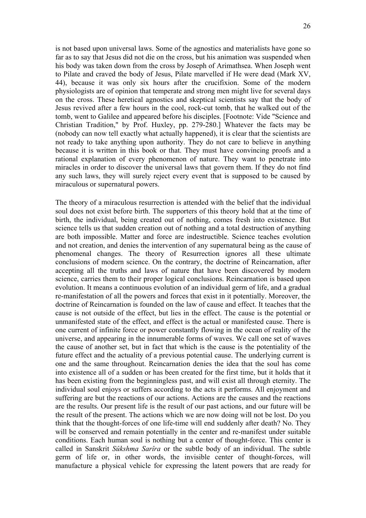is not based upon universal laws. Some of the agnostics and materialists have gone so far as to say that Jesus did not die on the cross, but his animation was suspended when his body was taken down from the cross by Joseph of Arimathsea. When Joseph went to Pilate and craved the body of Jesus, Pilate marvelled if He were dead (Mark XV, 44), because it was only six hours after the crucifixion. Some of the modern physiologists are of opinion that temperate and strong men might live for several days on the cross. These heretical agnostics and skeptical scientists say that the body of Jesus revived after a few hours in the cool, rock-cut tomb, that he walked out of the tomb, went to Galilee and appeared before his disciples. [Footnote: Vide "Science and Christian Tradition," by Prof. Huxley, pp. 279-280.] Whatever the facts may be (nobody can now tell exactly what actually happened), it is clear that the scientists are not ready to take anything upon authority. They do not care to believe in anything because it is written in this book or that. They must have convincing proofs and a rational explanation of every phenomenon of nature. They want to penetrate into miracles in order to discover the universal laws that govern them. If they do not find any such laws, they will surely reject every event that is supposed to be caused by miraculous or supernatural powers.

The theory of a miraculous resurrection is attended with the belief that the individual soul does not exist before birth. The supporters of this theory hold that at the time of birth, the individual, being created out of nothing, comes fresh into existence. But science tells us that sudden creation out of nothing and a total destruction of anything are both impossible. Matter and force are indestructible. Science teaches evolution and not creation, and denies the intervention of any supernatural being as the cause of phenomenal changes. The theory of Resurrection ignores all these ultimate conclusions of modern science. On the contrary, the doctrine of Reincarnation, after accepting all the truths and laws of nature that have been discovered by modern science, carries them to their proper logical conclusions. Reincarnation is based upon evolution. It means a continuous evolution of an individual germ of life, and a gradual re-manifestation of all the powers and forces that exist in it potentially. Moreover, the doctrine of Reincarnation is founded on the law of cause and effect. It teaches that the cause is not outside of the effect, but lies in the effect. The cause is the potential or unmanifested state of the effect, and effect is the actual or manifested cause. There is one current of infinite force or power constantly flowing in the ocean of reality of the universe, and appearing in the innumerable forms of waves. We call one set of waves the cause of another set, but in fact that which is the cause is the potentiality of the future effect and the actuality of a previous potential cause. The underlying current is one and the same throughout. Reincarnation denies the idea that the soul has come into existence all of a sudden or has been created for the first time, but it holds that it has been existing from the beginningless past, and will exist all through eternity. The individual soul enjoys or suffers according to the acts it performs. All enjoyment and suffering are but the reactions of our actions. Actions are the causes and the reactions are the results. Our present life is the result of our past actions, and our future will be the result of the present. The actions which we are now doing will not be lost. Do you think that the thought-forces of one life-time will end suddenly after death? No. They will be conserved and remain potentially in the center and re-manifest under suitable conditions. Each human soul is nothing but a center of thought-force. This center is called in Sanskrit *Sûkshma Sarîra* or the subtle body of an individual. The subtle germ of life or, in other words, the invisible center of thought-forces, will manufacture a physical vehicle for expressing the latent powers that are ready for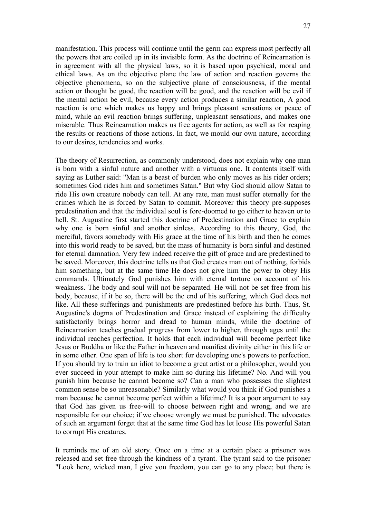manifestation. This process will continue until the germ can express most perfectly all the powers that are coiled up in its invisible form. As the doctrine of Reincarnation is in agreement with all the physical laws, so it is based upon psychical, moral and ethical laws. As on the objective plane the law of action and reaction governs the objective phenomena, so on the subjective plane of consciousness, if the mental action or thought be good, the reaction will be good, and the reaction will be evil if the mental action be evil, because every action produces a similar reaction, A good reaction is one which makes us happy and brings pleasant sensations or peace of mind, while an evil reaction brings suffering, unpleasant sensations, and makes one miserable. Thus Reincarnation makes us free agents for action, as well as for reaping the results or reactions of those actions. In fact, we mould our own nature, according to our desires, tendencies and works.

The theory of Resurrection, as commonly understood, does not explain why one man is born with a sinful nature and another with a virtuous one. It contents itself with saying as Luther said: "Man is a beast of burden who only moves as his rider orders; sometimes God rides him and sometimes Satan." But why God should allow Satan to ride His own creature nobody can tell. At any rate, man must suffer eternally for the crimes which he is forced by Satan to commit. Moreover this theory pre-supposes predestination and that the individual soul is fore-doomed to go either to heaven or to hell. St. Augustine first started this doctrine of Predestination and Grace to explain why one is born sinful and another sinless. According to this theory, God, the merciful, favors somebody with His grace at the time of his birth and then he comes into this world ready to be saved, but the mass of humanity is born sinful and destined for eternal damnation. Very few indeed receive the gift of grace and are predestined to be saved. Moreover, this doctrine tells us that God creates man out of nothing, forbids him something, but at the same time He does not give him the power to obey His commands. Ultimately God punishes him with eternal torture on account of his weakness. The body and soul will not be separated. He will not be set free from his body, because, if it be so, there will be the end of his suffering, which God does not like. All these sufferings and punishments are predestined before his birth. Thus, St. Augustine's dogma of Predestination and Grace instead of explaining the difficulty satisfactorily brings horror and dread to human minds, while the doctrine of Reincarnation teaches gradual progress from lower to higher, through ages until the individual reaches perfection. It holds that each individual will become perfect like Jesus or Buddha or like the Father in heaven and manifest divinity either in this life or in some other. One span of life is too short for developing one's powers to perfection. If you should try to train an idiot to become a great artist or a philosopher, would you ever succeed in your attempt to make him so during his lifetime? No. And will you punish him because he cannot become so? Can a man who possesses the slightest common sense be so unreasonable? Similarly what would you think if God punishes a man because he cannot become perfect within a lifetime? It is a poor argument to say that God has given us free-will to choose between right and wrong, and we are responsible for our choice; if we choose wrongly we must be punished. The advocates of such an argument forget that at the same time God has let loose His powerful Satan to corrupt His creatures.

It reminds me of an old story. Once on a time at a certain place a prisoner was released and set free through the kindness of a tyrant. The tyrant said to the prisoner "Look here, wicked man, I give you freedom, you can go to any place; but there is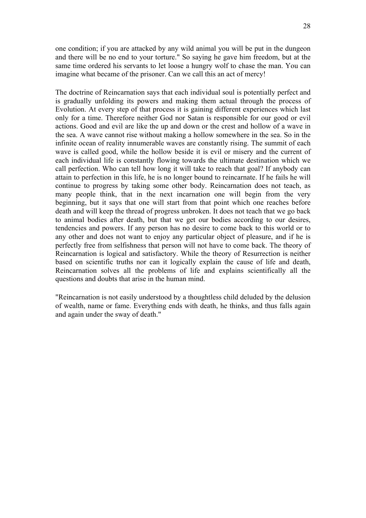one condition; if you are attacked by any wild animal you will be put in the dungeon and there will be no end to your torture." So saying he gave him freedom, but at the same time ordered his servants to let loose a hungry wolf to chase the man. You can imagine what became of the prisoner. Can we call this an act of mercy!

The doctrine of Reincarnation says that each individual soul is potentially perfect and is gradually unfolding its powers and making them actual through the process of Evolution. At every step of that process it is gaining different experiences which last only for a time. Therefore neither God nor Satan is responsible for our good or evil actions. Good and evil are like the up and down or the crest and hollow of a wave in the sea. A wave cannot rise without making a hollow somewhere in the sea. So in the infinite ocean of reality innumerable waves are constantly rising. The summit of each wave is called good, while the hollow beside it is evil or misery and the current of each individual life is constantly flowing towards the ultimate destination which we call perfection. Who can tell how long it will take to reach that goal? If anybody can attain to perfection in this life, he is no longer bound to reincarnate. If he fails he will continue to progress by taking some other body. Reincarnation does not teach, as many people think, that in the next incarnation one will begin from the very beginning, but it says that one will start from that point which one reaches before death and will keep the thread of progress unbroken. It does not teach that we go back to animal bodies after death, but that we get our bodies according to our desires, tendencies and powers. If any person has no desire to come back to this world or to any other and does not want to enjoy any particular object of pleasure, and if he is perfectly free from selfishness that person will not have to come back. The theory of Reincarnation is logical and satisfactory. While the theory of Resurrection is neither based on scientific truths nor can it logically explain the cause of life and death, Reincarnation solves all the problems of life and explains scientifically all the questions and doubts that arise in the human mind.

"Reincarnation is not easily understood by a thoughtless child deluded by the delusion of wealth, name or fame. Everything ends with death, he thinks, and thus falls again and again under the sway of death."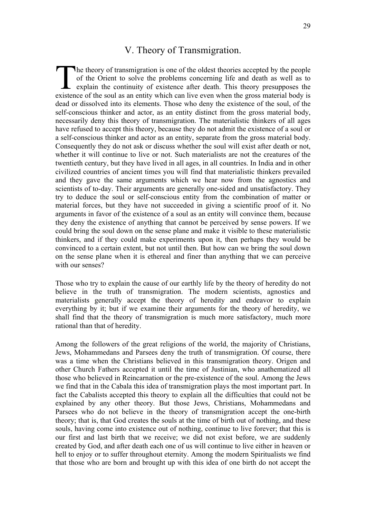### V. Theory of Transmigration.

he theory of transmigration is one of the oldest theories accepted by the people of the Orient to solve the problems concerning life and death as well as to explain the continuity of existence after death. This theory presupposes the The theory of transmigration is one of the oldest theories accepted by the people of the Orient to solve the problems concerning life and death as well as to explain the continuity of existence after death. This theory pre dead or dissolved into its elements. Those who deny the existence of the soul, of the self-conscious thinker and actor, as an entity distinct from the gross material body, necessarily deny this theory of transmigration. The materialistic thinkers of all ages have refused to accept this theory, because they do not admit the existence of a soul or a self-conscious thinker and actor as an entity, separate from the gross material body. Consequently they do not ask or discuss whether the soul will exist after death or not, whether it will continue to live or not. Such materialists are not the creatures of the twentieth century, but they have lived in all ages, in all countries. In India and in other civilized countries of ancient times you will find that materialistic thinkers prevailed and they gave the same arguments which we hear now from the agnostics and scientists of to-day. Their arguments are generally one-sided and unsatisfactory. They try to deduce the soul or self-conscious entity from the combination of matter or material forces, but they have not succeeded in giving a scientific proof of it. No arguments in favor of the existence of a soul as an entity will convince them, because they deny the existence of anything that cannot be perceived by sense powers. If we could bring the soul down on the sense plane and make it visible to these materialistic thinkers, and if they could make experiments upon it, then perhaps they would be convinced to a certain extent, but not until then. But how can we bring the soul down on the sense plane when it is ethereal and finer than anything that we can perceive with our senses?

Those who try to explain the cause of our earthly life by the theory of heredity do not believe in the truth of transmigration. The modern scientists, agnostics and materialists generally accept the theory of heredity and endeavor to explain everything by it; but if we examine their arguments for the theory of heredity, we shall find that the theory of transmigration is much more satisfactory, much more rational than that of heredity.

Among the followers of the great religions of the world, the majority of Christians, Jews, Mohammedans and Parsees deny the truth of transmigration. Of course, there was a time when the Christians believed in this transmigration theory. Origen and other Church Fathers accepted it until the time of Justinian, who anathematized all those who believed in Reincarnation or the pre-existence of the soul. Among the Jews we find that in the Cabala this idea of transmigration plays the most important part. In fact the Cabalists accepted this theory to explain all the difficulties that could not be explained by any other theory. But those Jews, Christians, Mohammedans and Parsees who do not believe in the theory of transmigration accept the one-birth theory; that is, that God creates the souls at the time of birth out of nothing, and these souls, having come into existence out of nothing, continue to live forever; that this is our first and last birth that we receive; we did not exist before, we are suddenly created by God, and after death each one of us will continue to live either in heaven or hell to enjoy or to suffer throughout eternity. Among the modern Spiritualists we find that those who are born and brought up with this idea of one birth do not accept the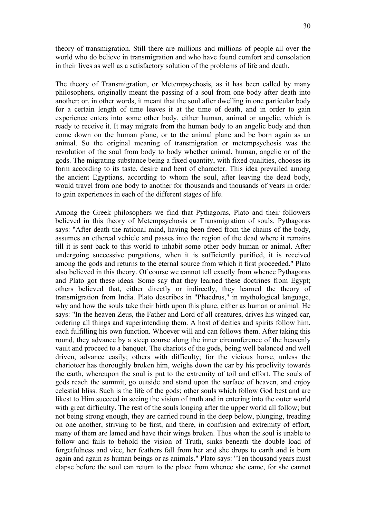theory of transmigration. Still there are millions and millions of people all over the world who do believe in transmigration and who have found comfort and consolation in their lives as well as a satisfactory solution of the problems of life and death.

The theory of Transmigration, or Metempsychosis, as it has been called by many philosophers, originally meant the passing of a soul from one body after death into another; or, in other words, it meant that the soul after dwelling in one particular body for a certain length of time leaves it at the time of death, and in order to gain experience enters into some other body, either human, animal or angelic, which is ready to receive it. It may migrate from the human body to an angelic body and then come down on the human plane, or to the animal plane and be born again as an animal. So the original meaning of transmigration or metempsychosis was the revolution of the soul from body to body whether animal, human, angelic or of the gods. The migrating substance being a fixed quantity, with fixed qualities, chooses its form according to its taste, desire and bent of character. This idea prevailed among the ancient Egyptians, according to whom the soul, after leaving the dead body, would travel from one body to another for thousands and thousands of years in order to gain experiences in each of the different stages of life.

Among the Greek philosophers we find that Pythagoras, Plato and their followers believed in this theory of Metempsychosis or Transmigration of souls. Pythagoras says: "After death the rational mind, having been freed from the chains of the body, assumes an ethereal vehicle and passes into the region of the dead where it remains till it is sent back to this world to inhabit some other body human or animal. After undergoing successive purgations, when it is sufficiently purified, it is received among the gods and returns to the eternal source from which it first proceeded." Plato also believed in this theory. Of course we cannot tell exactly from whence Pythagoras and Plato got these ideas. Some say that they learned these doctrines from Egypt; others believed that, either directly or indirectly, they learned the theory of transmigration from India. Plato describes in "Phaedrus," in mythological language, why and how the souls take their birth upon this plane, either as human or animal. He says: "In the heaven Zeus, the Father and Lord of all creatures, drives his winged car, ordering all things and superintending them. A host of deities and spirits follow him, each fulfilling his own function. Whoever will and can follows them. After taking this round, they advance by a steep course along the inner circumference of the heavenly vault and proceed to a banquet. The chariots of the gods, being well balanced and well driven, advance easily; others with difficulty; for the vicious horse, unless the charioteer has thoroughly broken him, weighs down the car by his proclivity towards the earth, whereupon the soul is put to the extremity of toil and effort. The souls of gods reach the summit, go outside and stand upon the surface of heaven, and enjoy celestial bliss. Such is the life of the gods; other souls which follow God best and are likest to Him succeed in seeing the vision of truth and in entering into the outer world with great difficulty. The rest of the souls longing after the upper world all follow; but not being strong enough, they are carried round in the deep below, plunging, treading on one another, striving to be first, and there, in confusion and extremity of effort, many of them are lamed and have their wings broken. Thus when the soul is unable to follow and fails to behold the vision of Truth, sinks beneath the double load of forgetfulness and vice, her feathers fall from her and she drops to earth and is born again and again as human beings or as animals." Plato says: "Ten thousand years must elapse before the soul can return to the place from whence she came, for she cannot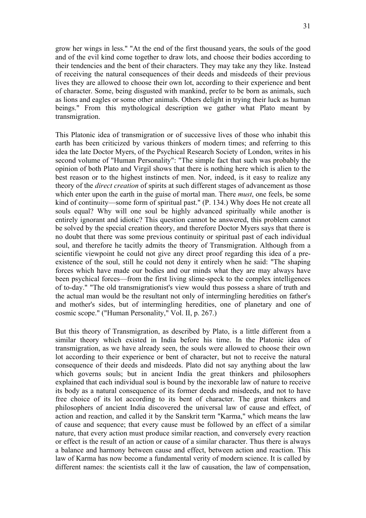grow her wings in less." "At the end of the first thousand years, the souls of the good and of the evil kind come together to draw lots, and choose their bodies according to their tendencies and the bent of their characters. They may take any they like. Instead of receiving the natural consequences of their deeds and misdeeds of their previous lives they are allowed to choose their own lot, according to their experience and bent of character. Some, being disgusted with mankind, prefer to be born as animals, such as lions and eagles or some other animals. Others delight in trying their luck as human beings." From this mythological description we gather what Plato meant by transmigration.

This Platonic idea of transmigration or of successive lives of those who inhabit this earth has been criticized by various thinkers of modern times; and referring to this idea the late Doctor Myers, of the Psychical Research Society of London, writes in his second volume of "Human Personality": "The simple fact that such was probably the opinion of both Plato and Virgil shows that there is nothing here which is alien to the best reason or to the highest instincts of men. Nor, indeed, is it easy to realize any theory of the *direct creation* of spirits at such different stages of advancement as those which enter upon the earth in the guise of mortal man. There *must*, one feels, be some kind of continuity—some form of spiritual past." (P. 134.) Why does He not create all souls equal? Why will one soul be highly advanced spiritually while another is entirely ignorant and idiotic? This question cannot be answered, this problem cannot be solved by the special creation theory, and therefore Doctor Myers says that there is no doubt that there was some previous continuity or spiritual past of each individual soul, and therefore he tacitly admits the theory of Transmigration. Although from a scientific viewpoint he could not give any direct proof regarding this idea of a preexistence of the soul, still he could not deny it entirely when he said: "The shaping forces which have made our bodies and our minds what they are may always have been psychical forces—from the first living slime-speck to the complex intelligences of to-day." "The old transmigrationist's view would thus possess a share of truth and the actual man would be the resultant not only of intermingling heredities on father's and mother's sides, but of intermingling heredities, one of planetary and one of cosmic scope." ("Human Personality," Vol. II, p. 267.)

But this theory of Transmigration, as described by Plato, is a little different from a similar theory which existed in India before his time. In the Platonic idea of transmigration, as we have already seen, the souls were allowed to choose their own lot according to their experience or bent of character, but not to receive the natural consequence of their deeds and misdeeds. Plato did not say anything about the law which governs souls; but in ancient India the great thinkers and philosophers explained that each individual soul is bound by the inexorable law of nature to receive its body as a natural consequence of its former deeds and misdeeds, and not to have free choice of its lot according to its bent of character. The great thinkers and philosophers of ancient India discovered the universal law of cause and effect, of action and reaction, and called it by the Sanskrit term "Karma," which means the law of cause and sequence; that every cause must be followed by an effect of a similar nature, that every action must produce similar reaction, and conversely every reaction or effect is the result of an action or cause of a similar character. Thus there is always a balance and harmony between cause and effect, between action and reaction. This law of Karma has now become a fundamental verity of modern science. It is called by different names: the scientists call it the law of causation, the law of compensation,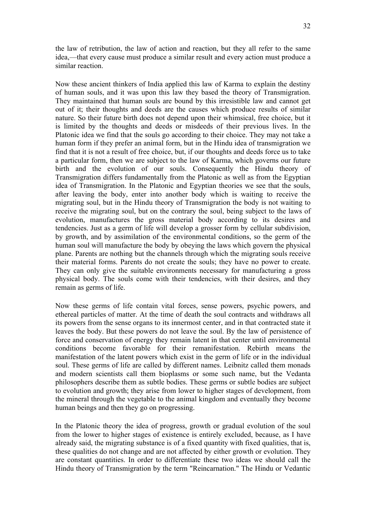the law of retribution, the law of action and reaction, but they all refer to the same idea,—that every cause must produce a similar result and every action must produce a similar reaction.

Now these ancient thinkers of India applied this law of Karma to explain the destiny of human souls, and it was upon this law they based the theory of Transmigration. They maintained that human souls are bound by this irresistible law and cannot get out of it; their thoughts and deeds are the causes which produce results of similar nature. So their future birth does not depend upon their whimsical, free choice, but it is limited by the thoughts and deeds or misdeeds of their previous lives. In the Platonic idea we find that the souls go according to their choice. They may not take a human form if they prefer an animal form, but in the Hindu idea of transmigration we find that it is not a result of free choice, but, if our thoughts and deeds force us to take a particular form, then we are subject to the law of Karma, which governs our future birth and the evolution of our souls. Consequently the Hindu theory of Transmigration differs fundamentally from the Platonic as well as from the Egyptian idea of Transmigration. In the Platonic and Egyptian theories we see that the souls, after leaving the body, enter into another body which is waiting to receive the migrating soul, but in the Hindu theory of Transmigration the body is not waiting to receive the migrating soul, but on the contrary the soul, being subject to the laws of evolution, manufactures the gross material body according to its desires and tendencies. Just as a germ of life will develop a grosser form by cellular subdivision, by growth, and by assimilation of the environmental conditions, so the germ of the human soul will manufacture the body by obeying the laws which govern the physical plane. Parents are nothing but the channels through which the migrating souls receive their material forms. Parents do not create the souls; they have no power to create. They can only give the suitable environments necessary for manufacturing a gross physical body. The souls come with their tendencies, with their desires, and they remain as germs of life.

Now these germs of life contain vital forces, sense powers, psychic powers, and ethereal particles of matter. At the time of death the soul contracts and withdraws all its powers from the sense organs to its innermost center, and in that contracted state it leaves the body. But these powers do not leave the soul. By the law of persistence of force and conservation of energy they remain latent in that center until environmental conditions become favorable for their remanifestation. Rebirth means the manifestation of the latent powers which exist in the germ of life or in the individual soul. These germs of life are called by different names. Leibnitz called them monads and modern scientists call them bioplasms or some such name, but the Vedanta philosophers describe them as subtle bodies. These germs or subtle bodies are subject to evolution and growth; they arise from lower to higher stages of development, from the mineral through the vegetable to the animal kingdom and eventually they become human beings and then they go on progressing.

In the Platonic theory the idea of progress, growth or gradual evolution of the soul from the lower to higher stages of existence is entirely excluded, because, as I have already said, the migrating substance is of a fixed quantity with fixed qualities, that is, these qualities do not change and are not affected by either growth or evolution. They are constant quantities. In order to differentiate these two ideas we should call the Hindu theory of Transmigration by the term "Reincarnation." The Hindu or Vedantic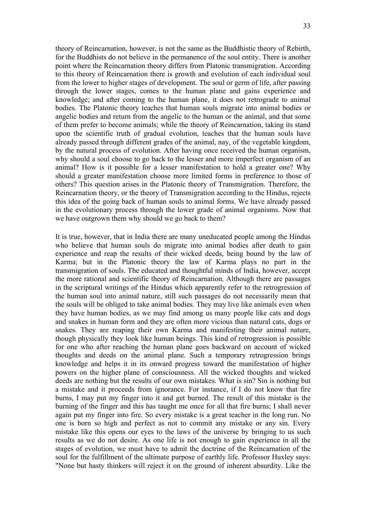theory of Reincarnation, however, is not the same as the Buddhistic theory of Rebirth, for the Buddhists do not believe in the permanence of the soul entity. There is another point where the Reincarnation theory differs from Platonic transmigration. According to this theory of Reincarnation there is growth and evolution of each individual soul from the lower to higher stages of development. The soul or germ of life, after passing through the lower stages, comes to the human plane and gains experience and knowledge; and after coming to the human plane, it does not retrograde to animal bodies. The Platonic theory teaches that human souls migrate into animal bodies or angelic bodies and return from the angelic to the human or the animal, and that some of them prefer to become animals; while the theory of Reincarnation, taking its stand upon the scientific truth of gradual evolution, teaches that the human souls have already passed through different grades of the animal, nay, of the vegetable kingdom, by the natural process of evolution. After having once received the human organism, why should a soul choose to go back to the lesser and more imperfect organism of an animal? How is it possible for a lesser manifestation to hold a greater one? Why should a greater manifestation choose more limited forms in preference to those of others? This question arises in the Platonic theory of Transmigration. Therefore, the Reincarnation theory, or the theory of Transmigration according to the Hindus, rejects this idea of the going back of human souls to animal forms. We have already passed in the evolutionary process through the lower grade of animal organisms. Now that we have outgrown them why should we go back to them?

It is true, however, that in India there are many uneducated people among the Hindus who believe that human souls do migrate into animal bodies after death to gain experience and reap the results of their wicked deeds, being bound by the law of Karma; but in the Platonic theory the law of Karma plays no part in the transmigration of souls. The educated and thoughtful minds of India, however, accept the more rational and scientific theory of Reincarnation. Although there are passages in the scriptural writings of the Hindus which apparently refer to the retrogression of the human soul into animal nature, still such passages do not necessarily mean that the souls will be obliged to take animal bodies. They may live like animals even when they have human bodies, as we may find among us many people like cats and dogs and snakes in human form and they are often more vicious than natural cats, dogs or snakes. They are reaping their own Karma and manifesting their animal nature, though physically they look like human beings. This kind of retrogression is possible for one who after reaching the human plane goes backward on account of wicked thoughts and deeds on the animal plane. Such a temporary retrogression brings knowledge and helps it in its onward progress toward the manifestation of higher powers on the higher plane of consciousness. All the wicked thoughts and wicked deeds are nothing but the results of our own mistakes. What is sin? Sin is nothing but a mistake and it proceeds from ignorance. For instance, if I do not know that fire burns, I may put my finger into it and get burned. The result of this mistake is the burning of the finger and this has taught me once for all that fire burns; I shall never again put my finger into fire. So every mistake is a great teacher in the long run. No one is born so high and perfect as not to commit any mistake or any sin. Every mistake like this opens our eyes to the laws of the universe by bringing to us such results as we do not desire. As one life is not enough to gain experience in all the stages of evolution, we must have to admit the doctrine of the Reincarnation of the soul for the fulfillment of the ultimate purpose of earthly life. Professor Huxley says: "None but hasty thinkers will reject it on the ground of inherent absurdity. Like the